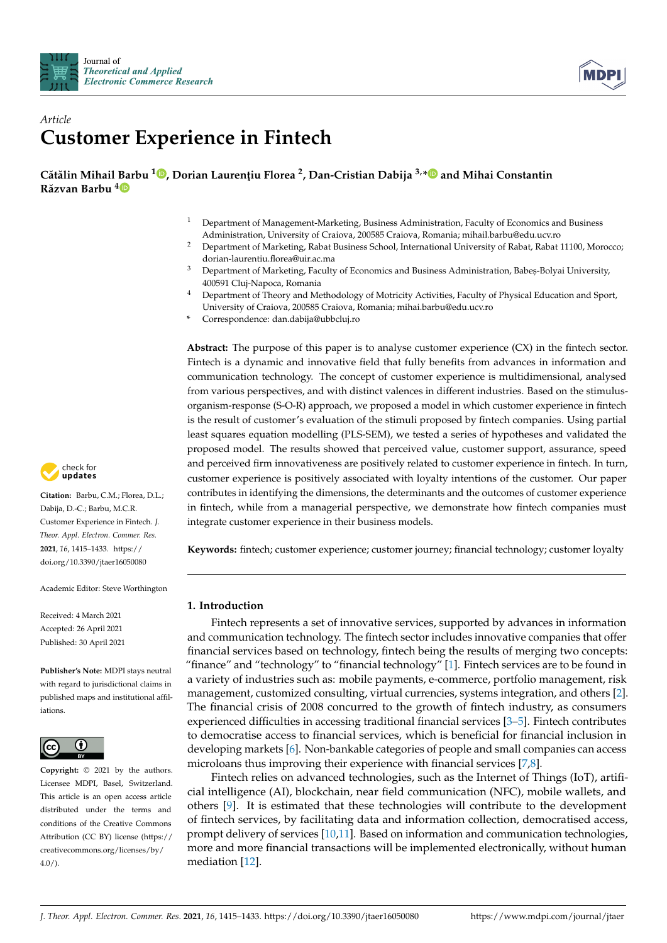



# *Article* **Customer Experience in Fintech**

**Cătălin Mihail [Bar](https://orcid.org/0000-0003-2695-3785)bu <sup>1</sup> [,](https://orcid.org/0000-0001-6733-3473) Dorian Lauren¸tiu Florea <sup>2</sup> , Dan-Cristian Dabija 3,[\\*](https://orcid.org/0000-0002-8265-175X) and Mihai Constantin Răzvan Barbu <sup>4</sup>**

- <sup>1</sup> Department of Management-Marketing, Business Administration, Faculty of Economics and Business Administration, University of Craiova, 200585 Craiova, Romania; mihail.barbu@edu.ucv.ro
- <sup>2</sup> Department of Marketing, Rabat Business School, International University of Rabat, Rabat 11100, Morocco; dorian-laurentiu.florea@uir.ac.ma
- <sup>3</sup> Department of Marketing, Faculty of Economics and Business Administration, Babes,-Bolyai University, 400591 Cluj-Napoca, Romania
- <sup>4</sup> Department of Theory and Methodology of Motricity Activities, Faculty of Physical Education and Sport, University of Craiova, 200585 Craiova, Romania; mihai.barbu@edu.ucv.ro
- **\*** Correspondence: dan.dabija@ubbcluj.ro

**Abstract:** The purpose of this paper is to analyse customer experience (CX) in the fintech sector. Fintech is a dynamic and innovative field that fully benefits from advances in information and communication technology. The concept of customer experience is multidimensional, analysed from various perspectives, and with distinct valences in different industries. Based on the stimulusorganism-response (S-O-R) approach, we proposed a model in which customer experience in fintech is the result of customer's evaluation of the stimuli proposed by fintech companies. Using partial least squares equation modelling (PLS-SEM), we tested a series of hypotheses and validated the proposed model. The results showed that perceived value, customer support, assurance, speed and perceived firm innovativeness are positively related to customer experience in fintech. In turn, customer experience is positively associated with loyalty intentions of the customer. Our paper contributes in identifying the dimensions, the determinants and the outcomes of customer experience in fintech, while from a managerial perspective, we demonstrate how fintech companies must integrate customer experience in their business models.

**Keywords:** fintech; customer experience; customer journey; financial technology; customer loyalty

# **1. Introduction**

Fintech represents a set of innovative services, supported by advances in information and communication technology. The fintech sector includes innovative companies that offer financial services based on technology, fintech being the results of merging two concepts: "finance" and "technology" to "financial technology" [\[1\]](#page-14-0). Fintech services are to be found in a variety of industries such as: mobile payments, e-commerce, portfolio management, risk management, customized consulting, virtual currencies, systems integration, and others [\[2\]](#page-14-1). The financial crisis of 2008 concurred to the growth of fintech industry, as consumers experienced difficulties in accessing traditional financial services [\[3](#page-14-2)[–5\]](#page-14-3). Fintech contributes to democratise access to financial services, which is beneficial for financial inclusion in developing markets [\[6\]](#page-14-4). Non-bankable categories of people and small companies can access microloans thus improving their experience with financial services [\[7,](#page-14-5)[8\]](#page-14-6).

Fintech relies on advanced technologies, such as the Internet of Things (IoT), artificial intelligence (AI), blockchain, near field communication (NFC), mobile wallets, and others [\[9\]](#page-14-7). It is estimated that these technologies will contribute to the development of fintech services, by facilitating data and information collection, democratised access, prompt delivery of services [\[10](#page-14-8)[,11\]](#page-14-9). Based on information and communication technologies, more and more financial transactions will be implemented electronically, without human mediation [\[12\]](#page-14-10).



**Citation:** Barbu, C.M.; Florea, D.L.; Dabija, D.-C.; Barbu, M.C.R. Customer Experience in Fintech. *J. Theor. Appl. Electron. Commer. Res.* **2021**, *16*, 1415–1433. [https://](https://doi.org/10.3390/jtaer16050080) [doi.org/10.3390/jtaer16050080](https://doi.org/10.3390/jtaer16050080)

Academic Editor: Steve Worthington

Received: 4 March 2021 Accepted: 26 April 2021 Published: 30 April 2021

**Publisher's Note:** MDPI stays neutral with regard to jurisdictional claims in published maps and institutional affiliations.



**Copyright:** © 2021 by the authors. Licensee MDPI, Basel, Switzerland. This article is an open access article distributed under the terms and conditions of the Creative Commons Attribution (CC BY) license (https:/[/](https://creativecommons.org/licenses/by/4.0/) [creativecommons.org/licenses/by/](https://creativecommons.org/licenses/by/4.0/)  $4.0/$ ).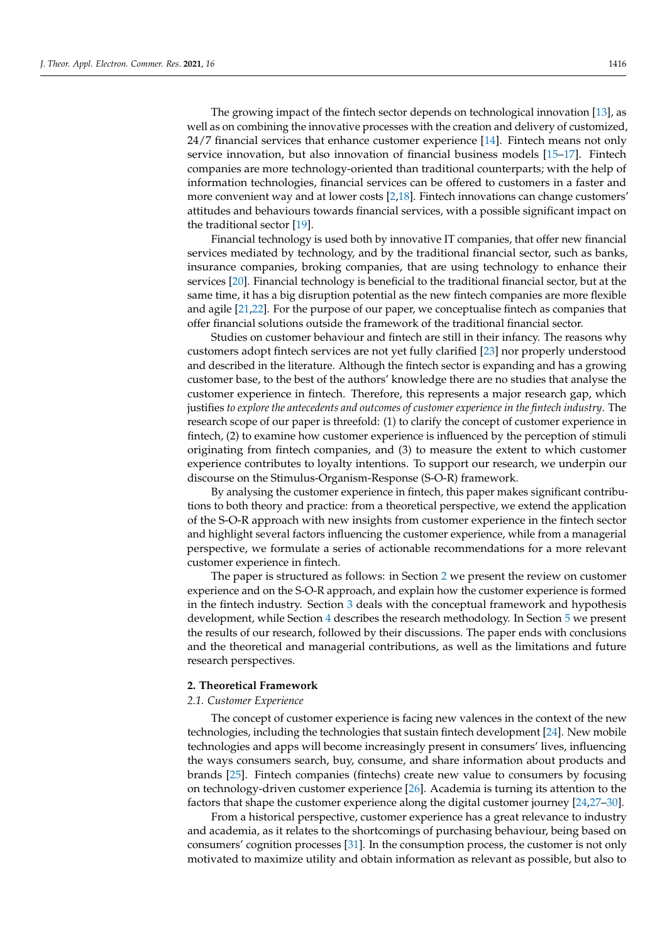The growing impact of the fintech sector depends on technological innovation [\[13\]](#page-14-11), as well as on combining the innovative processes with the creation and delivery of customized, 24/7 financial services that enhance customer experience [\[14\]](#page-14-12). Fintech means not only service innovation, but also innovation of financial business models [\[15](#page-14-13)[–17\]](#page-14-14). Fintech companies are more technology-oriented than traditional counterparts; with the help of information technologies, financial services can be offered to customers in a faster and more convenient way and at lower costs [\[2,](#page-14-1)[18\]](#page-14-15). Fintech innovations can change customers' attitudes and behaviours towards financial services, with a possible significant impact on the traditional sector [\[19\]](#page-14-16).

Financial technology is used both by innovative IT companies, that offer new financial services mediated by technology, and by the traditional financial sector, such as banks, insurance companies, broking companies, that are using technology to enhance their services [\[20\]](#page-14-17). Financial technology is beneficial to the traditional financial sector, but at the same time, it has a big disruption potential as the new fintech companies are more flexible and agile [\[21,](#page-14-18)[22\]](#page-14-19). For the purpose of our paper, we conceptualise fintech as companies that offer financial solutions outside the framework of the traditional financial sector.

Studies on customer behaviour and fintech are still in their infancy. The reasons why customers adopt fintech services are not yet fully clarified [\[23\]](#page-14-20) nor properly understood and described in the literature. Although the fintech sector is expanding and has a growing customer base, to the best of the authors' knowledge there are no studies that analyse the customer experience in fintech. Therefore, this represents a major research gap, which justifies *to explore the antecedents and outcomes of customer experience in the fintech industry*. The research scope of our paper is threefold: (1) to clarify the concept of customer experience in fintech, (2) to examine how customer experience is influenced by the perception of stimuli originating from fintech companies, and (3) to measure the extent to which customer experience contributes to loyalty intentions. To support our research, we underpin our discourse on the Stimulus-Organism-Response (S-O-R) framework.

By analysing the customer experience in fintech, this paper makes significant contributions to both theory and practice: from a theoretical perspective, we extend the application of the S-O-R approach with new insights from customer experience in the fintech sector and highlight several factors influencing the customer experience, while from a managerial perspective, we formulate a series of actionable recommendations for a more relevant customer experience in fintech.

The paper is structured as follows: in Section [2](#page-1-0) we present the review on customer experience and on the S-O-R approach, and explain how the customer experience is formed in the fintech industry. Section [3](#page-4-0) deals with the conceptual framework and hypothesis development, while Section [4](#page-7-0) describes the research methodology. In Section [5](#page-10-0) we present the results of our research, followed by their discussions. The paper ends with conclusions and the theoretical and managerial contributions, as well as the limitations and future research perspectives.

### <span id="page-1-0"></span>**2. Theoretical Framework**

### *2.1. Customer Experience*

The concept of customer experience is facing new valences in the context of the new technologies, including the technologies that sustain fintech development [\[24\]](#page-14-21). New mobile technologies and apps will become increasingly present in consumers' lives, influencing the ways consumers search, buy, consume, and share information about products and brands [\[25\]](#page-14-22). Fintech companies (fintechs) create new value to consumers by focusing on technology-driven customer experience [\[26\]](#page-14-23). Academia is turning its attention to the factors that shape the customer experience along the digital customer journey [\[24,](#page-14-21)[27–](#page-14-24)[30\]](#page-15-0).

From a historical perspective, customer experience has a great relevance to industry and academia, as it relates to the shortcomings of purchasing behaviour, being based on consumers' cognition processes [\[31\]](#page-15-1). In the consumption process, the customer is not only motivated to maximize utility and obtain information as relevant as possible, but also to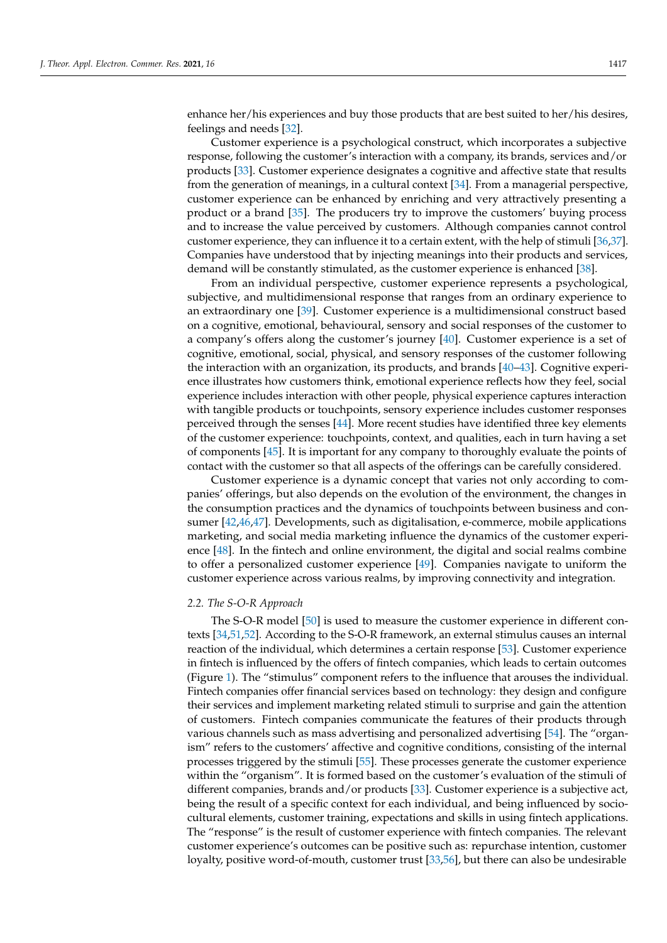enhance her/his experiences and buy those products that are best suited to her/his desires, feelings and needs [\[32\]](#page-15-2).

Customer experience is a psychological construct, which incorporates a subjective response, following the customer's interaction with a company, its brands, services and/or products [\[33\]](#page-15-3). Customer experience designates a cognitive and affective state that results from the generation of meanings, in a cultural context [\[34\]](#page-15-4). From a managerial perspective, customer experience can be enhanced by enriching and very attractively presenting a product or a brand [\[35\]](#page-15-5). The producers try to improve the customers' buying process and to increase the value perceived by customers. Although companies cannot control customer experience, they can influence it to a certain extent, with the help of stimuli [\[36](#page-15-6)[,37\]](#page-15-7). Companies have understood that by injecting meanings into their products and services, demand will be constantly stimulated, as the customer experience is enhanced [\[38\]](#page-15-8).

From an individual perspective, customer experience represents a psychological, subjective, and multidimensional response that ranges from an ordinary experience to an extraordinary one [\[39\]](#page-15-9). Customer experience is a multidimensional construct based on a cognitive, emotional, behavioural, sensory and social responses of the customer to a company's offers along the customer's journey [\[40\]](#page-15-10). Customer experience is a set of cognitive, emotional, social, physical, and sensory responses of the customer following the interaction with an organization, its products, and brands [\[40–](#page-15-10)[43\]](#page-15-11). Cognitive experience illustrates how customers think, emotional experience reflects how they feel, social experience includes interaction with other people, physical experience captures interaction with tangible products or touchpoints, sensory experience includes customer responses perceived through the senses [\[44\]](#page-15-12). More recent studies have identified three key elements of the customer experience: touchpoints, context, and qualities, each in turn having a set of components [\[45\]](#page-15-13). It is important for any company to thoroughly evaluate the points of contact with the customer so that all aspects of the offerings can be carefully considered.

Customer experience is a dynamic concept that varies not only according to companies' offerings, but also depends on the evolution of the environment, the changes in the consumption practices and the dynamics of touchpoints between business and consumer [\[42,](#page-15-14)[46,](#page-15-15)[47\]](#page-15-16). Developments, such as digitalisation, e-commerce, mobile applications marketing, and social media marketing influence the dynamics of the customer experience [\[48\]](#page-15-17). In the fintech and online environment, the digital and social realms combine to offer a personalized customer experience [\[49\]](#page-15-18). Companies navigate to uniform the customer experience across various realms, by improving connectivity and integration.

### *2.2. The S-O-R Approach*

The S-O-R model [\[50\]](#page-15-19) is used to measure the customer experience in different contexts [\[34,](#page-15-4)[51](#page-15-20)[,52\]](#page-15-21). According to the S-O-R framework, an external stimulus causes an internal reaction of the individual, which determines a certain response [\[53\]](#page-15-22). Customer experience in fintech is influenced by the offers of fintech companies, which leads to certain outcomes (Figure [1\)](#page-3-0). The "stimulus" component refers to the influence that arouses the individual. Fintech companies offer financial services based on technology: they design and configure their services and implement marketing related stimuli to surprise and gain the attention of customers. Fintech companies communicate the features of their products through various channels such as mass advertising and personalized advertising [\[54\]](#page-15-23). The "organism" refers to the customers' affective and cognitive conditions, consisting of the internal processes triggered by the stimuli [\[55\]](#page-15-24). These processes generate the customer experience within the "organism". It is formed based on the customer's evaluation of the stimuli of different companies, brands and/or products [\[33\]](#page-15-3). Customer experience is a subjective act, being the result of a specific context for each individual, and being influenced by sociocultural elements, customer training, expectations and skills in using fintech applications. The "response" is the result of customer experience with fintech companies. The relevant customer experience's outcomes can be positive such as: repurchase intention, customer loyalty, positive word-of-mouth, customer trust [\[33](#page-15-3)[,56\]](#page-15-25), but there can also be undesirable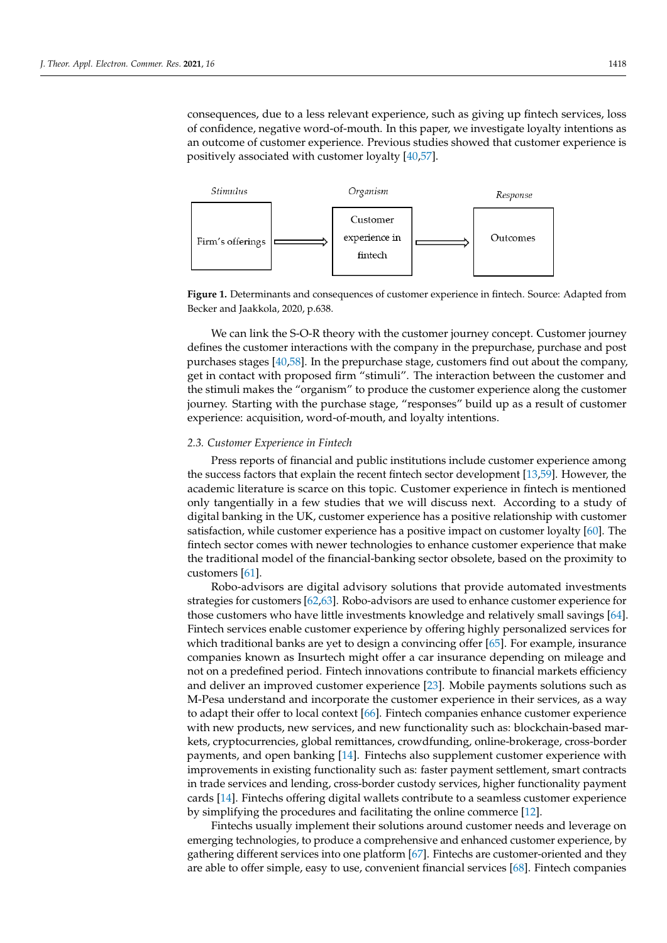consequences, due to a less relevant experience, such as giving up fintech services, loss of confidence, negative word-of-mouth. In this paper, we investigate loyalty intentions as an outcome of customer experience. Previous studies showed that customer experience is positively associated with customer loyalty  $[40,57]$  $[40,57]$ . be undesirable consequences, due to a less relevant experience, such as giving up fintech

<span id="page-3-0"></span>

**Figure 1.** Determinants and consequences of customer experience in fintech**.** Source: Adapted **Figure 1.** Determinants and consequences of customer experience in fintech. Source: Adapted from Becker and Jaakkola, 2020, p.638.

We can link the S-O-R theory with the customer journey concept. Customer journey We can link the S-O-R theory with the customer journey concept. Customer journey defines the customer interactions with the company in the prepurchase, purchase and post defines the customer interactions with the company in the prepurchase, purchase and post purchases stages [4[0,58](#page-15-10)[\]. In](#page-15-27) the prepurchase stage, customers find out about the company, purchases stages [40,58]. In the prepurchase stage, customers find out about the company, get in contact with proposed firm "stimuli". The interaction between the customer and get in contact with proposed firm "stimuli". The interaction between the customer and the stimuli makes the "organism" to produce the customer experience along the customer the stimuli makes the "organism" to produce the customer experience along the customer journey. Starting with the purchase stage, "responses" build up as a result of customer experience: acquisition, word-of-mouth, and loyalty intentions. experience: acquisition, word-of-mouth, and loyalty intentions.

# *2.3. Customer Experience in Fintech 2.3. Customer Experience in Fintech*

Press reports of financial and public institutions include customer experience among Press reports of financial and public institutions include customer experience among the success factors that explain the recent fintech sector development [13,59]. However, the success factors that explain the recent fintech sector development [\[13](#page-14-11)[,59\]](#page-15-28). However, the academic literature is scarce on this topic. Customer experience in fintech is mentioned only tangentially in a few studies that we will discuss next. According to a study of digital banking in the UK, customer experience has a positive relationship with customer faction, while customer experience has a positive impact on customer loyalty [60]. The satisfaction, while customer experience has a positive impact on customer loyalty [\[60\]](#page-15-29). The fintech sector comes with newer technologies to enhance customer experience that make fintech sector comes with newer technologies to enhance customer experience that make the traditional model of the financial-bank in the proximity to the proximity to provide the proximity to provide the proximity to the proximity to the proximity to the proximity to the proximity to the proximity to the pr the traditional model of the financial-banking sector obsolete, based on the proximity to  $R_{\text{out}}$  and digital advisors are digital advisory solutions that provide automated investments of  $\alpha$ customers [\[61\]](#page-16-0).

Robo-advisors are digital advisory solutions that provide automated investments strategies for customers  $[62,63]$  $[62,63]$ . Robo-advisors are used to enhance customer experience for those customers who have little investments knowledge and relatively small savings [\[64\]](#page-16-3). Fintech services enable customer experience by offering highly personalized services for which traditional banks are yet to design a convincing offer [\[65\]](#page-16-4). For example, insurance companies known as Insurtech might offer a car insurance depending on mileage and not on a predefined period. Fintech innovations contribute to financial markets efficiency and deliver an improved customer experience [\[23\]](#page-14-20). Mobile payments solutions such as M-Pesa understand and incorporate the customer experience in their services, as a way to adapt their offer to local context [66]. Fintech companies enhance customer experience with new products, new services, and new functionality such as: blockchain-based markets, cryptocurrencies, global remittances, crowdfunding, online-brokerage, cross-border payments, and open banking [14]. Fintechs also supplement customer experience with improvements in existing functionality such as: faster payment settlement, smart contracts in trade services and lending, cross-border custody services, higher functionality payment cards [\[14\]](#page-14-12). Fintechs offering digital wallets contribute to a seamless customer experience by simplifying the procedures and facilitating the online commerce [\[12\]](#page-14-10).

Fintechs usually implement their solutions around customer needs and leverage on emerging technologies, to produce a comprehensive and enhanced customer experience, by gathering different services into one platform [\[67\]](#page-16-6). Fintechs are customer-oriented and they are able to offer simple, easy to use, convenient financial services [\[68\]](#page-16-7). Fintech companies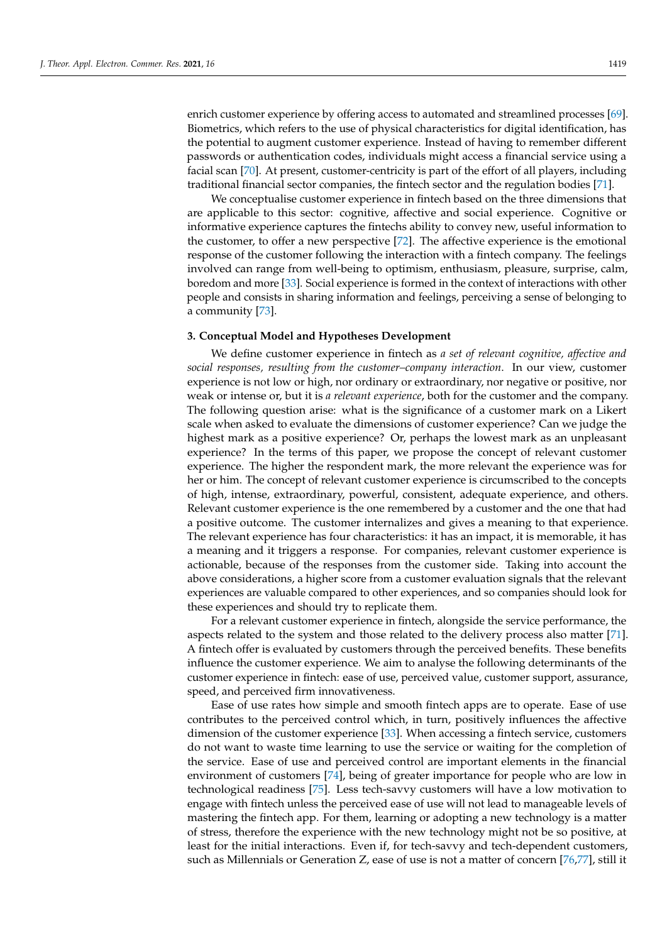enrich customer experience by offering access to automated and streamlined processes [\[69\]](#page-16-8). Biometrics, which refers to the use of physical characteristics for digital identification, has the potential to augment customer experience. Instead of having to remember different passwords or authentication codes, individuals might access a financial service using a facial scan [\[70\]](#page-16-9). At present, customer-centricity is part of the effort of all players, including traditional financial sector companies, the fintech sector and the regulation bodies [\[71\]](#page-16-10).

We conceptualise customer experience in fintech based on the three dimensions that are applicable to this sector: cognitive, affective and social experience. Cognitive or informative experience captures the fintechs ability to convey new, useful information to the customer, to offer a new perspective [\[72\]](#page-16-11). The affective experience is the emotional response of the customer following the interaction with a fintech company. The feelings involved can range from well-being to optimism, enthusiasm, pleasure, surprise, calm, boredom and more [\[33\]](#page-15-3). Social experience is formed in the context of interactions with other people and consists in sharing information and feelings, perceiving a sense of belonging to a community [\[73\]](#page-16-12).

## <span id="page-4-0"></span>**3. Conceptual Model and Hypotheses Development**

We define customer experience in fintech as *a set of relevant cognitive, affective and social responses, resulting from the customer–company interaction*. In our view, customer experience is not low or high, nor ordinary or extraordinary, nor negative or positive, nor weak or intense or, but it is *a relevant experience*, both for the customer and the company. The following question arise: what is the significance of a customer mark on a Likert scale when asked to evaluate the dimensions of customer experience? Can we judge the highest mark as a positive experience? Or, perhaps the lowest mark as an unpleasant experience? In the terms of this paper, we propose the concept of relevant customer experience. The higher the respondent mark, the more relevant the experience was for her or him. The concept of relevant customer experience is circumscribed to the concepts of high, intense, extraordinary, powerful, consistent, adequate experience, and others. Relevant customer experience is the one remembered by a customer and the one that had a positive outcome. The customer internalizes and gives a meaning to that experience. The relevant experience has four characteristics: it has an impact, it is memorable, it has a meaning and it triggers a response. For companies, relevant customer experience is actionable, because of the responses from the customer side. Taking into account the above considerations, a higher score from a customer evaluation signals that the relevant experiences are valuable compared to other experiences, and so companies should look for these experiences and should try to replicate them.

For a relevant customer experience in fintech, alongside the service performance, the aspects related to the system and those related to the delivery process also matter [\[71\]](#page-16-10). A fintech offer is evaluated by customers through the perceived benefits. These benefits influence the customer experience. We aim to analyse the following determinants of the customer experience in fintech: ease of use, perceived value, customer support, assurance, speed, and perceived firm innovativeness.

Ease of use rates how simple and smooth fintech apps are to operate. Ease of use contributes to the perceived control which, in turn, positively influences the affective dimension of the customer experience [\[33\]](#page-15-3). When accessing a fintech service, customers do not want to waste time learning to use the service or waiting for the completion of the service. Ease of use and perceived control are important elements in the financial environment of customers [\[74\]](#page-16-13), being of greater importance for people who are low in technological readiness [\[75\]](#page-16-14). Less tech-savvy customers will have a low motivation to engage with fintech unless the perceived ease of use will not lead to manageable levels of mastering the fintech app. For them, learning or adopting a new technology is a matter of stress, therefore the experience with the new technology might not be so positive, at least for the initial interactions. Even if, for tech-savvy and tech-dependent customers, such as Millennials or Generation Z, ease of use is not a matter of concern [\[76,](#page-16-15)[77\]](#page-16-16), still it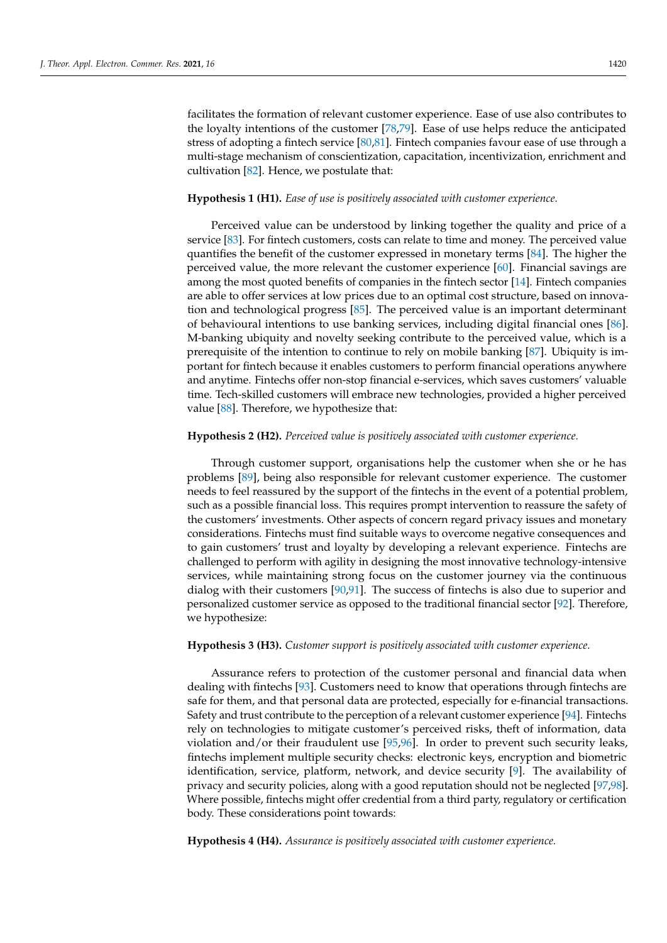facilitates the formation of relevant customer experience. Ease of use also contributes to the loyalty intentions of the customer [\[78,](#page-16-17)[79\]](#page-16-18). Ease of use helps reduce the anticipated stress of adopting a fintech service [\[80](#page-16-19)[,81\]](#page-16-20). Fintech companies favour ease of use through a multi-stage mechanism of conscientization, capacitation, incentivization, enrichment and cultivation [\[82\]](#page-16-21). Hence, we postulate that:

### **Hypothesis 1 (H1).** *Ease of use is positively associated with customer experience.*

Perceived value can be understood by linking together the quality and price of a service [\[83\]](#page-16-22). For fintech customers, costs can relate to time and money. The perceived value quantifies the benefit of the customer expressed in monetary terms [\[84\]](#page-16-23). The higher the perceived value, the more relevant the customer experience [\[60\]](#page-15-29). Financial savings are among the most quoted benefits of companies in the fintech sector [\[14\]](#page-14-12). Fintech companies are able to offer services at low prices due to an optimal cost structure, based on innovation and technological progress [\[85\]](#page-16-24). The perceived value is an important determinant of behavioural intentions to use banking services, including digital financial ones [\[86\]](#page-16-25). M-banking ubiquity and novelty seeking contribute to the perceived value, which is a prerequisite of the intention to continue to rely on mobile banking [\[87\]](#page-16-26). Ubiquity is important for fintech because it enables customers to perform financial operations anywhere and anytime. Fintechs offer non-stop financial e-services, which saves customers' valuable time. Tech-skilled customers will embrace new technologies, provided a higher perceived value [\[88\]](#page-16-27). Therefore, we hypothesize that:

### **Hypothesis 2 (H2).** *Perceived value is positively associated with customer experience.*

Through customer support, organisations help the customer when she or he has problems [\[89\]](#page-16-28), being also responsible for relevant customer experience. The customer needs to feel reassured by the support of the fintechs in the event of a potential problem, such as a possible financial loss. This requires prompt intervention to reassure the safety of the customers' investments. Other aspects of concern regard privacy issues and monetary considerations. Fintechs must find suitable ways to overcome negative consequences and to gain customers' trust and loyalty by developing a relevant experience. Fintechs are challenged to perform with agility in designing the most innovative technology-intensive services, while maintaining strong focus on the customer journey via the continuous dialog with their customers [\[90](#page-16-29)[,91\]](#page-16-30). The success of fintechs is also due to superior and personalized customer service as opposed to the traditional financial sector [\[92\]](#page-16-31). Therefore, we hypothesize:

### **Hypothesis 3 (H3).** *Customer support is positively associated with customer experience.*

Assurance refers to protection of the customer personal and financial data when dealing with fintechs [\[93\]](#page-16-32). Customers need to know that operations through fintechs are safe for them, and that personal data are protected, especially for e-financial transactions. Safety and trust contribute to the perception of a relevant customer experience [\[94\]](#page-16-33). Fintechs rely on technologies to mitigate customer's perceived risks, theft of information, data violation and/or their fraudulent use [\[95](#page-16-34)[,96\]](#page-17-0). In order to prevent such security leaks, fintechs implement multiple security checks: electronic keys, encryption and biometric identification, service, platform, network, and device security [\[9\]](#page-14-7). The availability of privacy and security policies, along with a good reputation should not be neglected [\[97](#page-17-1)[,98\]](#page-17-2). Where possible, fintechs might offer credential from a third party, regulatory or certification body. These considerations point towards:

**Hypothesis 4 (H4).** *Assurance is positively associated with customer experience.*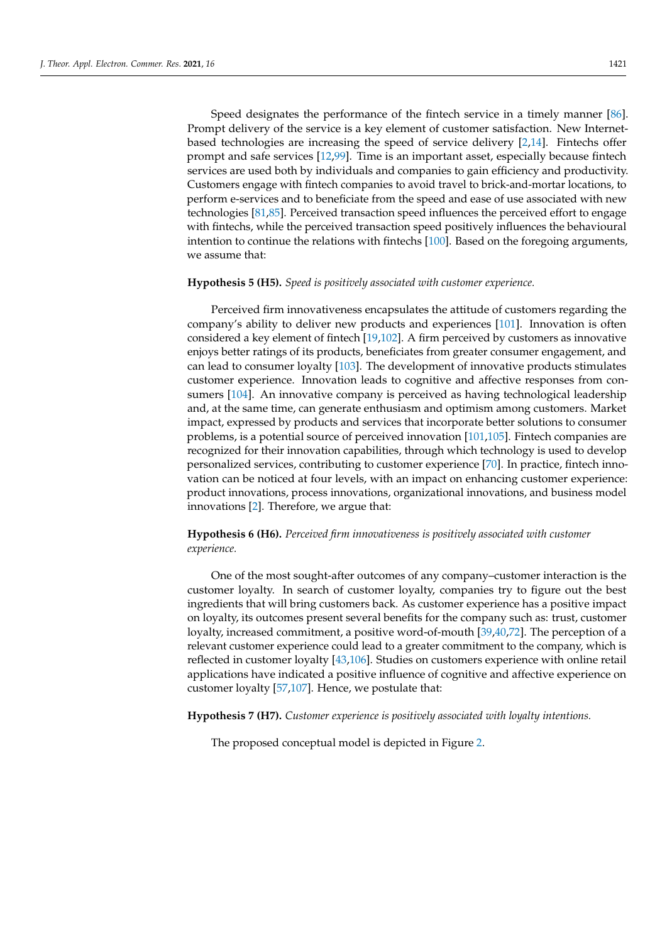Speed designates the performance of the fintech service in a timely manner [\[86\]](#page-16-25). Prompt delivery of the service is a key element of customer satisfaction. New Internetbased technologies are increasing the speed of service delivery [\[2,](#page-14-1)[14\]](#page-14-12). Fintechs offer prompt and safe services [\[12,](#page-14-10)[99\]](#page-17-3). Time is an important asset, especially because fintech services are used both by individuals and companies to gain efficiency and productivity. Customers engage with fintech companies to avoid travel to brick-and-mortar locations, to perform e-services and to beneficiate from the speed and ease of use associated with new technologies [\[81,](#page-16-20)[85\]](#page-16-24). Perceived transaction speed influences the perceived effort to engage with fintechs, while the perceived transaction speed positively influences the behavioural intention to continue the relations with fintechs [\[100\]](#page-17-4). Based on the foregoing arguments, we assume that:

#### **Hypothesis 5 (H5).** *Speed is positively associated with customer experience.*

Perceived firm innovativeness encapsulates the attitude of customers regarding the company's ability to deliver new products and experiences [\[101\]](#page-17-5). Innovation is often considered a key element of fintech [\[19](#page-14-16)[,102\]](#page-17-6). A firm perceived by customers as innovative enjoys better ratings of its products, beneficiates from greater consumer engagement, and can lead to consumer loyalty [\[103\]](#page-17-7). The development of innovative products stimulates customer experience. Innovation leads to cognitive and affective responses from consumers [\[104\]](#page-17-8). An innovative company is perceived as having technological leadership and, at the same time, can generate enthusiasm and optimism among customers. Market impact, expressed by products and services that incorporate better solutions to consumer problems, is a potential source of perceived innovation [\[101](#page-17-5)[,105\]](#page-17-9). Fintech companies are recognized for their innovation capabilities, through which technology is used to develop personalized services, contributing to customer experience [\[70\]](#page-16-9). In practice, fintech innovation can be noticed at four levels, with an impact on enhancing customer experience: product innovations, process innovations, organizational innovations, and business model innovations [\[2\]](#page-14-1). Therefore, we argue that:

# **Hypothesis 6 (H6).** *Perceived firm innovativeness is positively associated with customer experience.*

One of the most sought-after outcomes of any company–customer interaction is the customer loyalty. In search of customer loyalty, companies try to figure out the best ingredients that will bring customers back. As customer experience has a positive impact on loyalty, its outcomes present several benefits for the company such as: trust, customer loyalty, increased commitment, a positive word-of-mouth [\[39](#page-15-9)[,40](#page-15-10)[,72\]](#page-16-11). The perception of a relevant customer experience could lead to a greater commitment to the company, which is reflected in customer loyalty [\[43,](#page-15-11)[106\]](#page-17-10). Studies on customers experience with online retail applications have indicated a positive influence of cognitive and affective experience on customer loyalty [\[57](#page-15-26)[,107\]](#page-17-11). Hence, we postulate that:

**Hypothesis 7 (H7).** *Customer experience is positively associated with loyalty intentions.*

The proposed conceptual model is depicted in Figure [2.](#page-7-1)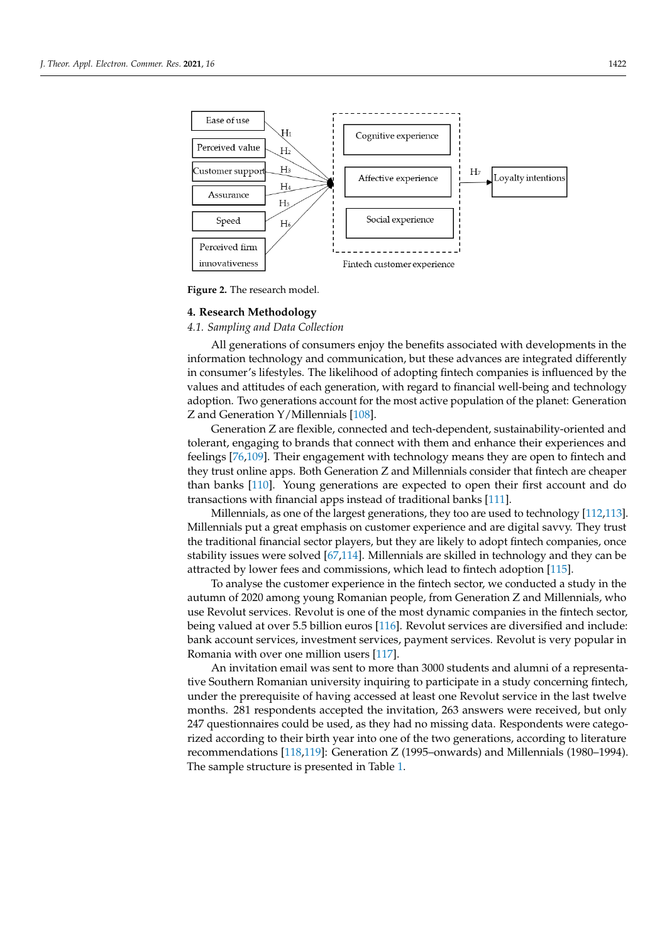<span id="page-7-1"></span>

**Figure 2.** The research model**. Figure 2.** The research model.

# <span id="page-7-0"></span>**4. Research Methodology 4. Research Methodology**

# *4.1. Sampling and Data Collection 4.1. Sampling and Data Collection*

All generations of consumers enjoy the benefits associated with developments in the All generations of consumers enjoy the benefits associated with developments in the information technology and communication, but these advances are integrated differently information technology and communication, but these advances are integrated differently in consumer's lifestyles. The likelihood of adopting fintech companies is influenced by the in consumer's lifestyles. The likelihood of adopting fintech companies is influenced by the values and attitudes of each generation, with regard to financial well-being and technology adoption. Two generations account for the most active population of the planet: Generation Z and Generation Y/Millen[nials](#page-17-12) [108].

Generation Z are flexible, connected and tech-dependent, sustainability-oriented and Generation Z are flexible, connected and tech-dependent, sustainability-oriented and tolerant, engaging to brands that connect with them and enhance their experiences and tolerant, engaging to brands that connect with them and enhance their experiences and feelings [\[76](#page-16-15)[,109\]](#page-17-13). Their engagement with technology means they are open to fintech and they trust online apps. Both Generation Z and Millennials consider that fintech are they trust online apps. Both Generation Z and Millennials consider that fintech are cheaper than banks [\[110\]](#page-17-14). Young generations are expected to open their first account and do transactions with financial apps instead of traditional banks [\[111\]](#page-17-15).

Millennials, as one of the largest generations, they too are used to technology Millennials, as one of the largest generations, they too are used to technology [\[112](#page-17-16)[,113\]](#page-17-17). [112,113]. Millennials put a great emphasis on customer experience and are digital savvy. Millennials put a great emphasis on customer experience and are digital savvy. They trust the traditional financial sector players, but they are likely to adopt fintech companies, once panies, once stability issues were solved [67,114]. Millennials are skilled in technology and stability issues were solved [\[67](#page-16-6)[,114\]](#page-17-18). Millennials are skilled in technology and they can be they can be attracted by lower fees and commissions, which lead to fintech adoption [115]. attracted by lower fees and commissions, which lead to fintech adoption [\[115\]](#page-17-19).

To analyse the customer experience in the fintech sector, we conducted a study in the To analyse the customer experience in the fintech sector, we conducted a study in the autumn of 2000 and customer experience in the inneen sector, we contacted a statistical autumn of 2020 among young Romanian people, from Generation Z and Millennials, who use Revolut services. Revolut is one of the most dynamic companies in the fintech sector, being valued at over 5.5 billion euros [\[116\]](#page-17-20). Revolut services are diversified and include: bank account services, investment services, payment services. Revolut is very popular in Romania with over one million users  $[117]$ .

An invitation email was sent to more than 3000 students and alumni of a representative Southern Romanian university inquiring to participate in a study concerning fintech, under the prerequisite of having accessed at least one Revolut service in the last twelve months. 281 respondents accepted the invitation, 263 answers were received, but only 247 questionnaires could be used, as they had no missing data. Respondents were categorized according to their birth year into one of the two generations, according to literature recommendations [118,119]: Generation Z (1995–onwards) and Millennials (1980–1994). The sample structure is presented in Table [1.](#page-8-0)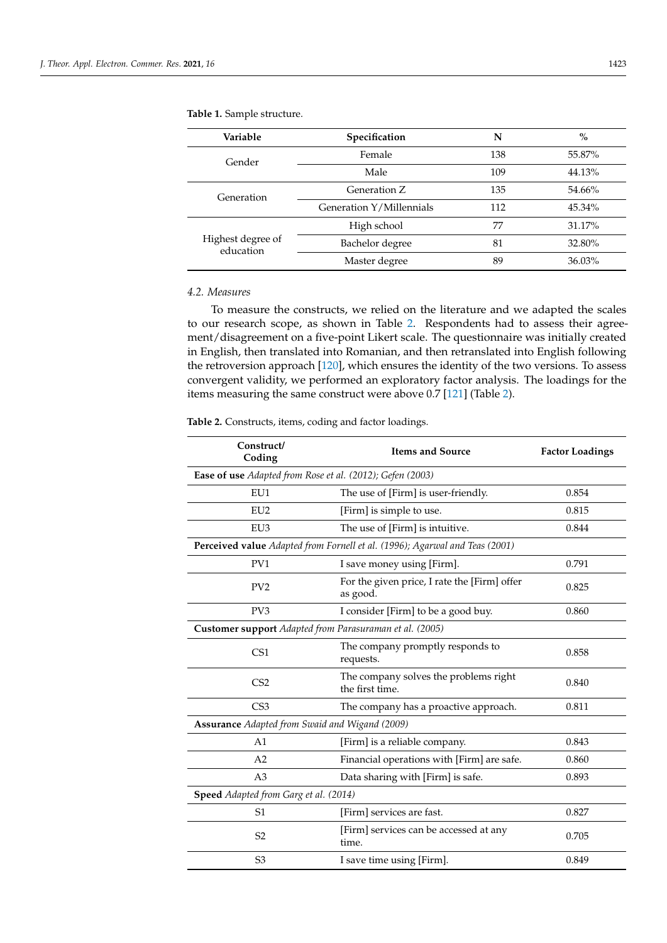| Variable                       | Specification            | N   | $\%$   |
|--------------------------------|--------------------------|-----|--------|
| Gender                         | Female                   | 138 | 55.87% |
|                                | Male                     | 109 | 44.13% |
| Generation                     | Generation Z             | 135 | 54.66% |
|                                | Generation Y/Millennials | 112 | 45.34% |
| Highest degree of<br>education | High school              | 77  | 31.17% |
|                                | Bachelor degree          | 81  | 32.80% |
|                                | Master degree            | 89  | 36.03% |

# <span id="page-8-0"></span>**Table 1.** Sample structure.

#### *4.2. Measures*

To measure the constructs, we relied on the literature and we adapted the scales to our research scope, as shown in Table [2.](#page-9-0) Respondents had to assess their agreement/disagreement on a five-point Likert scale. The questionnaire was initially created in English, then translated into Romanian, and then retranslated into English following the retroversion approach [\[120\]](#page-17-24), which ensures the identity of the two versions. To assess convergent validity, we performed an exploratory factor analysis. The loadings for the items measuring the same construct were above 0.7 [\[121\]](#page-17-25) (Table [2\)](#page-9-0).

**Table 2.** Constructs, items, coding and factor loadings.

| Construct/<br>Coding                                      | <b>Items and Source</b>                                                     | <b>Factor Loadings</b> |  |  |  |  |
|-----------------------------------------------------------|-----------------------------------------------------------------------------|------------------------|--|--|--|--|
| Ease of use Adapted from Rose et al. (2012); Gefen (2003) |                                                                             |                        |  |  |  |  |
| EU1                                                       | The use of [Firm] is user-friendly.                                         | 0.854                  |  |  |  |  |
| EU <sub>2</sub>                                           | [Firm] is simple to use.                                                    | 0.815                  |  |  |  |  |
| EU <sub>3</sub>                                           | The use of [Firm] is intuitive.                                             | 0.844                  |  |  |  |  |
|                                                           | Perceived value Adapted from Fornell et al. (1996); Agarwal and Teas (2001) |                        |  |  |  |  |
| PV1                                                       | I save money using [Firm].                                                  | 0.791                  |  |  |  |  |
| PV <sub>2</sub>                                           | For the given price, I rate the [Firm] offer<br>as good.                    | 0.825                  |  |  |  |  |
| PV3                                                       | I consider [Firm] to be a good buy.                                         | 0.860                  |  |  |  |  |
| Customer support Adapted from Parasuraman et al. (2005)   |                                                                             |                        |  |  |  |  |
| CS <sub>1</sub>                                           | The company promptly responds to<br>requests.                               | 0.858                  |  |  |  |  |
| CS <sub>2</sub>                                           | The company solves the problems right<br>the first time.                    | 0.840                  |  |  |  |  |
| CS <sub>3</sub>                                           | The company has a proactive approach.                                       | 0.811                  |  |  |  |  |
| Assurance Adapted from Swaid and Wigand (2009)            |                                                                             |                        |  |  |  |  |
| A <sub>1</sub>                                            | [Firm] is a reliable company.                                               | 0.843                  |  |  |  |  |
| A2                                                        | Financial operations with [Firm] are safe.                                  | 0.860                  |  |  |  |  |
| A <sub>3</sub>                                            | Data sharing with [Firm] is safe.                                           | 0.893                  |  |  |  |  |
| Speed Adapted from Garg et al. (2014)                     |                                                                             |                        |  |  |  |  |
| S <sub>1</sub>                                            | [Firm] services are fast.                                                   | 0.827                  |  |  |  |  |
| S <sub>2</sub>                                            | [Firm] services can be accessed at any<br>time.                             | 0.705                  |  |  |  |  |
| S <sub>3</sub>                                            | I save time using [Firm].                                                   | 0.849                  |  |  |  |  |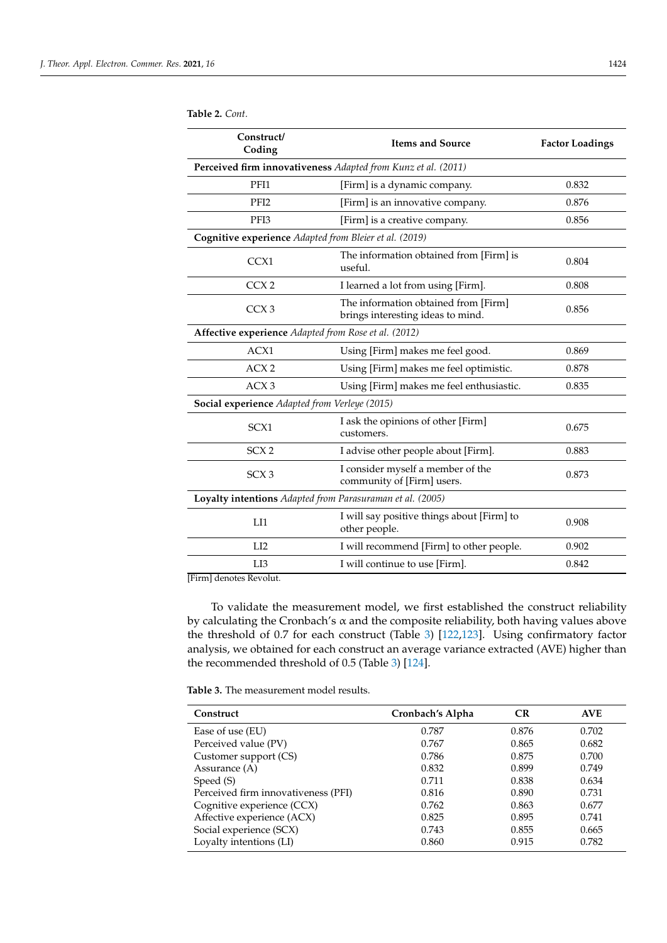| Construct/<br>Coding                                   | <b>Items and Source</b>                                                   | <b>Factor Loadings</b> |
|--------------------------------------------------------|---------------------------------------------------------------------------|------------------------|
|                                                        | Perceived firm innovativeness Adapted from Kunz et al. (2011)             |                        |
| PFI1                                                   | [Firm] is a dynamic company.                                              | 0.832                  |
| PFI <sub>2</sub>                                       | [Firm] is an innovative company.                                          | 0.876                  |
| PFI3                                                   | [Firm] is a creative company.                                             | 0.856                  |
| Cognitive experience Adapted from Bleier et al. (2019) |                                                                           |                        |
| CCX1                                                   | The information obtained from [Firm] is<br>useful.                        | 0.804                  |
| CCX <sub>2</sub>                                       | I learned a lot from using [Firm].                                        | 0.808                  |
| CCX <sub>3</sub>                                       | The information obtained from [Firm]<br>brings interesting ideas to mind. | 0.856                  |
| Affective experience Adapted from Rose et al. (2012)   |                                                                           |                        |
| ACX1                                                   | Using [Firm] makes me feel good.                                          | 0.869                  |
| ACX2                                                   | Using [Firm] makes me feel optimistic.                                    | 0.878                  |
| ACX3                                                   | Using [Firm] makes me feel enthusiastic.                                  | 0.835                  |
| Social experience Adapted from Verleye (2015)          |                                                                           |                        |
| SCX1                                                   | I ask the opinions of other [Firm]<br>customers.                          | 0.675                  |
| SCX2                                                   | I advise other people about [Firm].                                       | 0.883                  |
|                                                        |                                                                           |                        |

<span id="page-9-0"></span>**Table 2.** *Cont.*

SCX 2 I advise other people about [Firm]. 0.883 SCX 3 I consider myself a member of the 1 consider myself a member of the  $0.873$ <br>community of [Firm] users. **Loyalty intentions** *Adapted from Parasuraman et al. (2005)* LI1 I will say positive things about [Firm] to I will say positive things about [FIFM] to 0.908 other people. LI2 I will recommend [Firm] to other people. 0.902 LI3 I will continue to use [Firm]. 0.842

[Firm] denotes Revolut.

To validate the measurement model, we first established the construct reliability by calculating the Cronbach's  $\alpha$  and the composite reliability, both having values above the threshold of 0.7 for each construct (Table [3\)](#page-9-1) [\[122,](#page-17-26)[123\]](#page-17-27). Using confirmatory factor analysis, we obtained for each construct an average variance extracted (AVE) higher than the recommended threshold of 0.5 (Table [3\)](#page-9-1) [\[124\]](#page-17-28).

<span id="page-9-1"></span>

| Construct                           | Cronbach's Alpha | <b>CR</b> | <b>AVE</b> |
|-------------------------------------|------------------|-----------|------------|
| Ease of use (EU)                    | 0.787            | 0.876     | 0.702      |
| Perceived value (PV)                | 0.767            | 0.865     | 0.682      |
| Customer support (CS)               | 0.786            | 0.875     | 0.700      |
| Assurance (A)                       | 0.832            | 0.899     | 0.749      |
| Speed (S)                           | 0.711            | 0.838     | 0.634      |
| Perceived firm innovativeness (PFI) | 0.816            | 0.890     | 0.731      |
| Cognitive experience (CCX)          | 0.762            | 0.863     | 0.677      |
| Affective experience (ACX)          | 0.825            | 0.895     | 0.741      |
| Social experience (SCX)             | 0.743            | 0.855     | 0.665      |
| Loyalty intentions (LI)             | 0.860            | 0.915     | 0.782      |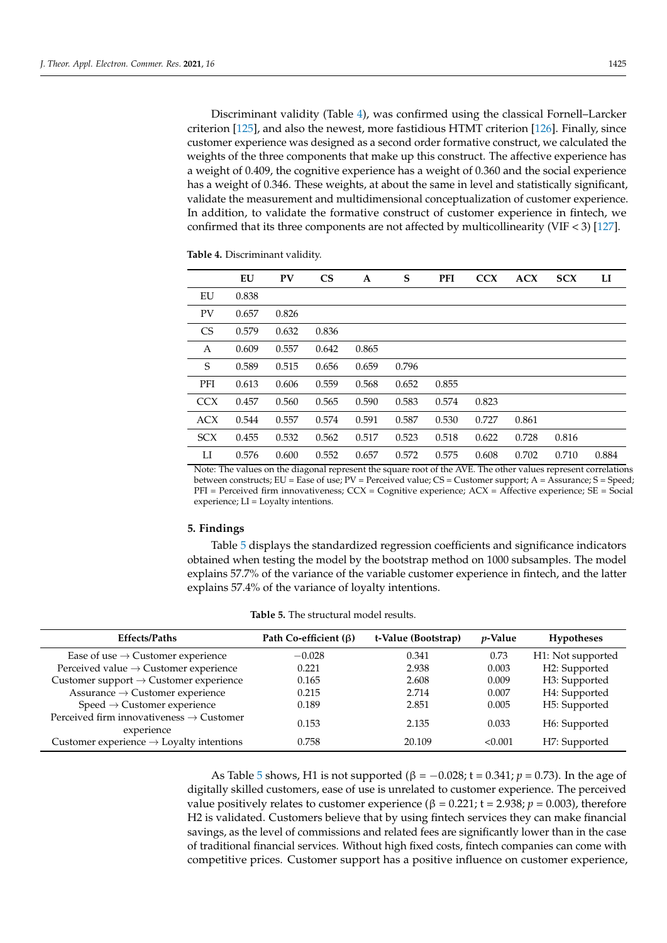Discriminant validity (Table [4\)](#page-10-1), was confirmed using the classical Fornell–Larcker criterion [\[125\]](#page-17-29), and also the newest, more fastidious HTMT criterion [\[126\]](#page-17-30). Finally, since customer experience was designed as a second order formative construct, we calculated the weights of the three components that make up this construct. The affective experience has a weight of 0.409, the cognitive experience has a weight of 0.360 and the social experience has a weight of 0.346. These weights, at about the same in level and statistically significant, validate the measurement and multidimensional conceptualization of customer experience. In addition, to validate the formative construct of customer experience in fintech, we confirmed that its three components are not affected by multicollinearity (VIF < 3) [\[127\]](#page-18-0).

|            | EU    | <b>PV</b> | $\overline{\text{CS}}$ | A     | S     | PFI   | <b>CCX</b> | <b>ACX</b> | <b>SCX</b> | LI    |
|------------|-------|-----------|------------------------|-------|-------|-------|------------|------------|------------|-------|
| EU         | 0.838 |           |                        |       |       |       |            |            |            |       |
| <b>PV</b>  | 0.657 | 0.826     |                        |       |       |       |            |            |            |       |
| <b>CS</b>  | 0.579 | 0.632     | 0.836                  |       |       |       |            |            |            |       |
| Α          | 0.609 | 0.557     | 0.642                  | 0.865 |       |       |            |            |            |       |
| S          | 0.589 | 0.515     | 0.656                  | 0.659 | 0.796 |       |            |            |            |       |
| PFI        | 0.613 | 0.606     | 0.559                  | 0.568 | 0.652 | 0.855 |            |            |            |       |
| <b>CCX</b> | 0.457 | 0.560     | 0.565                  | 0.590 | 0.583 | 0.574 | 0.823      |            |            |       |
| <b>ACX</b> | 0.544 | 0.557     | 0.574                  | 0.591 | 0.587 | 0.530 | 0.727      | 0.861      |            |       |
| <b>SCX</b> | 0.455 | 0.532     | 0.562                  | 0.517 | 0.523 | 0.518 | 0.622      | 0.728      | 0.816      |       |
| LI         | 0.576 | 0.600     | 0.552                  | 0.657 | 0.572 | 0.575 | 0.608      | 0.702      | 0.710      | 0.884 |

<span id="page-10-1"></span>**Table 4.** Discriminant validity.

Note: The values on the diagonal represent the square root of the AVE. The other values represent correlations between constructs; EU = Ease of use; PV = Perceived value; CS = Customer support; A = Assurance; S = Speed; PFI = Perceived firm innovativeness; CCX = Cognitive experience; ACX = Affective experience; SE = Social experience; LI = Loyalty intentions.

### <span id="page-10-0"></span>**5. Findings**

Table [5](#page-10-2) displays the standardized regression coefficients and significance indicators obtained when testing the model by the bootstrap method on 1000 subsamples. The model explains 57.7% of the variance of the variable customer experience in fintech, and the latter explains 57.4% of the variance of loyalty intentions.

<span id="page-10-2"></span>

| <b>Effects/Paths</b>                                                                    | Path Co-efficient $(\beta)$ | t-Value (Bootstrap) | <i>v</i> -Value | <b>Hypotheses</b> |
|-----------------------------------------------------------------------------------------|-----------------------------|---------------------|-----------------|-------------------|
| Ease of use $\rightarrow$ Customer experience                                           | $-0.028$                    | 0.341               | 0.73            | H1: Not supported |
| Perceived value $\rightarrow$ Customer experience                                       | 0.221                       | 2.938               | 0.003           | H2: Supported     |
| Customer support $\rightarrow$ Customer experience                                      | 0.165                       | 2.608               | 0.009           | H3: Supported     |
| $\begin{aligned} \text{Assurance} \rightarrow \text{Customer experience} \end{aligned}$ | 0.215                       | 2.714               | 0.007           | H4: Supported     |
| $Speed \rightarrow Customer$ experience                                                 | 0.189                       | 2.851               | 0.005           | H5: Supported     |
| Perceived firm innovativeness $\rightarrow$ Customer<br>experience                      | 0.153                       | 2.135               | 0.033           | H6: Supported     |
| Customer experience $\rightarrow$ Loyalty intentions                                    | 0.758                       | 20.109              | <0.001          | H7: Supported     |

#### **Table 5.** The structural model results.

As Table [5](#page-10-2) shows, H1 is not supported ( $β = -0.028$ ;  $t = 0.341$ ;  $p = 0.73$ ). In the age of digitally skilled customers, ease of use is unrelated to customer experience. The perceived value positively relates to customer experience (β = 0.221; t = 2.938;  $p = 0.003$ ), therefore H2 is validated. Customers believe that by using fintech services they can make financial savings, as the level of commissions and related fees are significantly lower than in the case of traditional financial services. Without high fixed costs, fintech companies can come with competitive prices. Customer support has a positive influence on customer experience,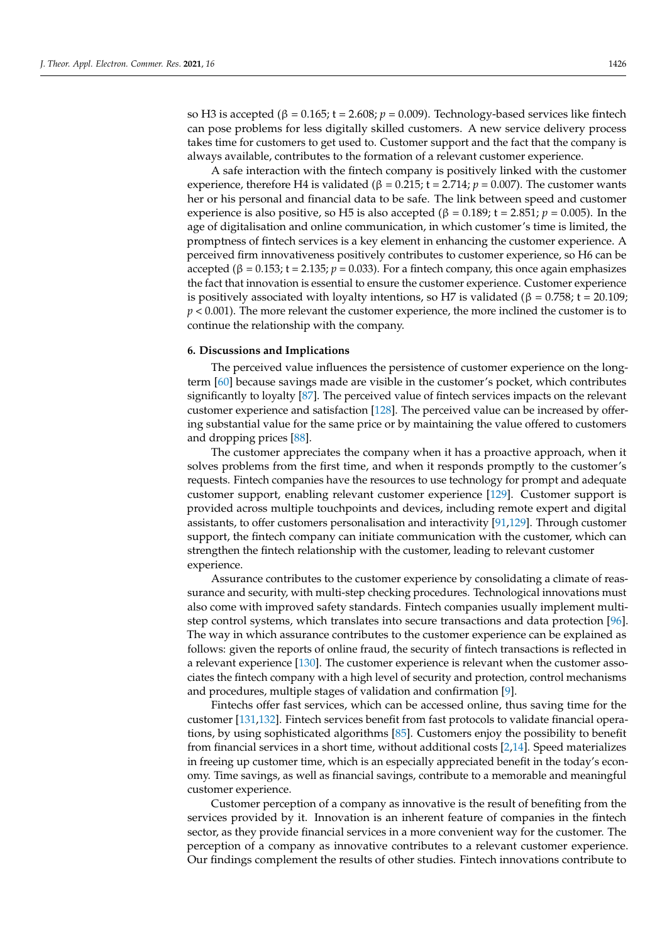so H3 is accepted (β = 0.165; t = 2.608; *p* = 0.009). Technology-based services like fintech can pose problems for less digitally skilled customers. A new service delivery process takes time for customers to get used to. Customer support and the fact that the company is always available, contributes to the formation of a relevant customer experience.

A safe interaction with the fintech company is positively linked with the customer experience, therefore H4 is validated ( $\beta = 0.215$ ;  $t = 2.714$ ;  $p = 0.007$ ). The customer wants her or his personal and financial data to be safe. The link between speed and customer experience is also positive, so H5 is also accepted ( $\beta$  = 0.189; t = 2.851;  $p$  = 0.005). In the age of digitalisation and online communication, in which customer's time is limited, the promptness of fintech services is a key element in enhancing the customer experience. A perceived firm innovativeness positively contributes to customer experience, so H6 can be accepted (β =  $0.153$ ; t =  $2.135$ ;  $p = 0.033$ ). For a fintech company, this once again emphasizes the fact that innovation is essential to ensure the customer experience. Customer experience is positively associated with loyalty intentions, so H7 is validated ( $\beta$  = 0.758; t = 20.109; *p* < 0.001). The more relevant the customer experience, the more inclined the customer is to continue the relationship with the company.

### **6. Discussions and Implications**

The perceived value influences the persistence of customer experience on the longterm [\[60\]](#page-15-29) because savings made are visible in the customer's pocket, which contributes significantly to loyalty [\[87\]](#page-16-26). The perceived value of fintech services impacts on the relevant customer experience and satisfaction [\[128\]](#page-18-1). The perceived value can be increased by offering substantial value for the same price or by maintaining the value offered to customers and dropping prices [\[88\]](#page-16-27).

The customer appreciates the company when it has a proactive approach, when it solves problems from the first time, and when it responds promptly to the customer's requests. Fintech companies have the resources to use technology for prompt and adequate customer support, enabling relevant customer experience [\[129\]](#page-18-2). Customer support is provided across multiple touchpoints and devices, including remote expert and digital assistants, to offer customers personalisation and interactivity [\[91,](#page-16-30)[129\]](#page-18-2). Through customer support, the fintech company can initiate communication with the customer, which can strengthen the fintech relationship with the customer, leading to relevant customer experience.

Assurance contributes to the customer experience by consolidating a climate of reassurance and security, with multi-step checking procedures. Technological innovations must also come with improved safety standards. Fintech companies usually implement multistep control systems, which translates into secure transactions and data protection [\[96\]](#page-17-0). The way in which assurance contributes to the customer experience can be explained as follows: given the reports of online fraud, the security of fintech transactions is reflected in a relevant experience [\[130\]](#page-18-3). The customer experience is relevant when the customer associates the fintech company with a high level of security and protection, control mechanisms and procedures, multiple stages of validation and confirmation [\[9\]](#page-14-7).

Fintechs offer fast services, which can be accessed online, thus saving time for the customer [\[131,](#page-18-4)[132\]](#page-18-5). Fintech services benefit from fast protocols to validate financial operations, by using sophisticated algorithms [\[85\]](#page-16-24). Customers enjoy the possibility to benefit from financial services in a short time, without additional costs [\[2,](#page-14-1)[14\]](#page-14-12). Speed materializes in freeing up customer time, which is an especially appreciated benefit in the today's economy. Time savings, as well as financial savings, contribute to a memorable and meaningful customer experience.

Customer perception of a company as innovative is the result of benefiting from the services provided by it. Innovation is an inherent feature of companies in the fintech sector, as they provide financial services in a more convenient way for the customer. The perception of a company as innovative contributes to a relevant customer experience. Our findings complement the results of other studies. Fintech innovations contribute to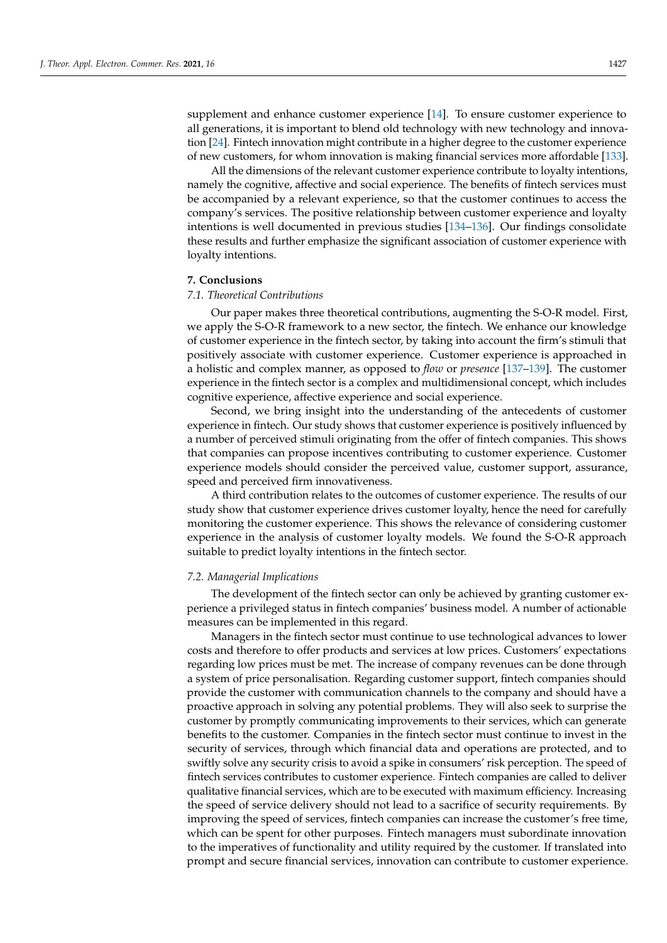supplement and enhance customer experience [\[14\]](#page-14-12). To ensure customer experience to all generations, it is important to blend old technology with new technology and innovation [\[24\]](#page-14-21). Fintech innovation might contribute in a higher degree to the customer experience of new customers, for whom innovation is making financial services more affordable [\[133\]](#page-18-6).

All the dimensions of the relevant customer experience contribute to loyalty intentions, namely the cognitive, affective and social experience. The benefits of fintech services must be accompanied by a relevant experience, so that the customer continues to access the company's services. The positive relationship between customer experience and loyalty intentions is well documented in previous studies [\[134–](#page-18-7)[136\]](#page-18-8). Our findings consolidate these results and further emphasize the significant association of customer experience with loyalty intentions.

# **7. Conclusions**

### *7.1. Theoretical Contributions*

Our paper makes three theoretical contributions, augmenting the S-O-R model. First, we apply the S-O-R framework to a new sector, the fintech. We enhance our knowledge of customer experience in the fintech sector, by taking into account the firm's stimuli that positively associate with customer experience. Customer experience is approached in a holistic and complex manner, as opposed to *flow* or *presence* [\[137](#page-18-9)[–139\]](#page-18-10). The customer experience in the fintech sector is a complex and multidimensional concept, which includes cognitive experience, affective experience and social experience.

Second, we bring insight into the understanding of the antecedents of customer experience in fintech. Our study shows that customer experience is positively influenced by a number of perceived stimuli originating from the offer of fintech companies. This shows that companies can propose incentives contributing to customer experience. Customer experience models should consider the perceived value, customer support, assurance, speed and perceived firm innovativeness.

A third contribution relates to the outcomes of customer experience. The results of our study show that customer experience drives customer loyalty, hence the need for carefully monitoring the customer experience. This shows the relevance of considering customer experience in the analysis of customer loyalty models. We found the S-O-R approach suitable to predict loyalty intentions in the fintech sector.

### *7.2. Managerial Implications*

The development of the fintech sector can only be achieved by granting customer experience a privileged status in fintech companies' business model. A number of actionable measures can be implemented in this regard.

Managers in the fintech sector must continue to use technological advances to lower costs and therefore to offer products and services at low prices. Customers' expectations regarding low prices must be met. The increase of company revenues can be done through a system of price personalisation. Regarding customer support, fintech companies should provide the customer with communication channels to the company and should have a proactive approach in solving any potential problems. They will also seek to surprise the customer by promptly communicating improvements to their services, which can generate benefits to the customer. Companies in the fintech sector must continue to invest in the security of services, through which financial data and operations are protected, and to swiftly solve any security crisis to avoid a spike in consumers' risk perception. The speed of fintech services contributes to customer experience. Fintech companies are called to deliver qualitative financial services, which are to be executed with maximum efficiency. Increasing the speed of service delivery should not lead to a sacrifice of security requirements. By improving the speed of services, fintech companies can increase the customer's free time, which can be spent for other purposes. Fintech managers must subordinate innovation to the imperatives of functionality and utility required by the customer. If translated into prompt and secure financial services, innovation can contribute to customer experience.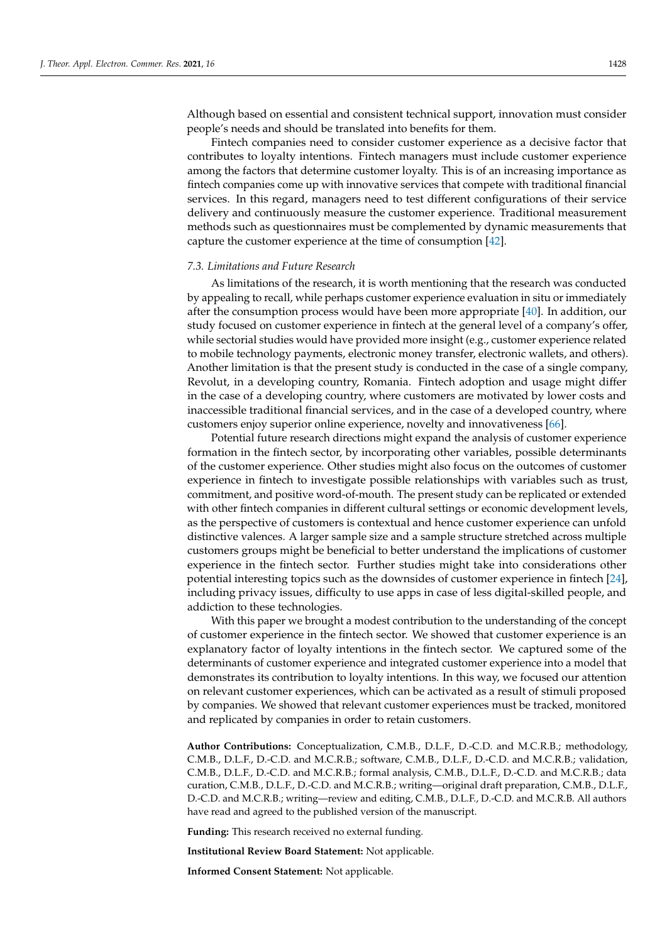Although based on essential and consistent technical support, innovation must consider people's needs and should be translated into benefits for them.

Fintech companies need to consider customer experience as a decisive factor that contributes to loyalty intentions. Fintech managers must include customer experience among the factors that determine customer loyalty. This is of an increasing importance as fintech companies come up with innovative services that compete with traditional financial services. In this regard, managers need to test different configurations of their service delivery and continuously measure the customer experience. Traditional measurement methods such as questionnaires must be complemented by dynamic measurements that capture the customer experience at the time of consumption [\[42\]](#page-15-14).

### *7.3. Limitations and Future Research*

As limitations of the research, it is worth mentioning that the research was conducted by appealing to recall, while perhaps customer experience evaluation in situ or immediately after the consumption process would have been more appropriate [\[40\]](#page-15-10). In addition, our study focused on customer experience in fintech at the general level of a company's offer, while sectorial studies would have provided more insight (e.g., customer experience related to mobile technology payments, electronic money transfer, electronic wallets, and others). Another limitation is that the present study is conducted in the case of a single company, Revolut, in a developing country, Romania. Fintech adoption and usage might differ in the case of a developing country, where customers are motivated by lower costs and inaccessible traditional financial services, and in the case of a developed country, where customers enjoy superior online experience, novelty and innovativeness [\[66\]](#page-16-5).

Potential future research directions might expand the analysis of customer experience formation in the fintech sector, by incorporating other variables, possible determinants of the customer experience. Other studies might also focus on the outcomes of customer experience in fintech to investigate possible relationships with variables such as trust, commitment, and positive word-of-mouth. The present study can be replicated or extended with other fintech companies in different cultural settings or economic development levels, as the perspective of customers is contextual and hence customer experience can unfold distinctive valences. A larger sample size and a sample structure stretched across multiple customers groups might be beneficial to better understand the implications of customer experience in the fintech sector. Further studies might take into considerations other potential interesting topics such as the downsides of customer experience in fintech [\[24\]](#page-14-21), including privacy issues, difficulty to use apps in case of less digital-skilled people, and addiction to these technologies.

With this paper we brought a modest contribution to the understanding of the concept of customer experience in the fintech sector. We showed that customer experience is an explanatory factor of loyalty intentions in the fintech sector. We captured some of the determinants of customer experience and integrated customer experience into a model that demonstrates its contribution to loyalty intentions. In this way, we focused our attention on relevant customer experiences, which can be activated as a result of stimuli proposed by companies. We showed that relevant customer experiences must be tracked, monitored and replicated by companies in order to retain customers.

**Author Contributions:** Conceptualization, C.M.B., D.L.F., D.-C.D. and M.C.R.B.; methodology, C.M.B., D.L.F., D.-C.D. and M.C.R.B.; software, C.M.B., D.L.F., D.-C.D. and M.C.R.B.; validation, C.M.B., D.L.F., D.-C.D. and M.C.R.B.; formal analysis, C.M.B., D.L.F., D.-C.D. and M.C.R.B.; data curation, C.M.B., D.L.F., D.-C.D. and M.C.R.B.; writing—original draft preparation, C.M.B., D.L.F., D.-C.D. and M.C.R.B.; writing—review and editing, C.M.B., D.L.F., D.-C.D. and M.C.R.B. All authors have read and agreed to the published version of the manuscript.

**Funding:** This research received no external funding.

**Institutional Review Board Statement:** Not applicable.

**Informed Consent Statement:** Not applicable.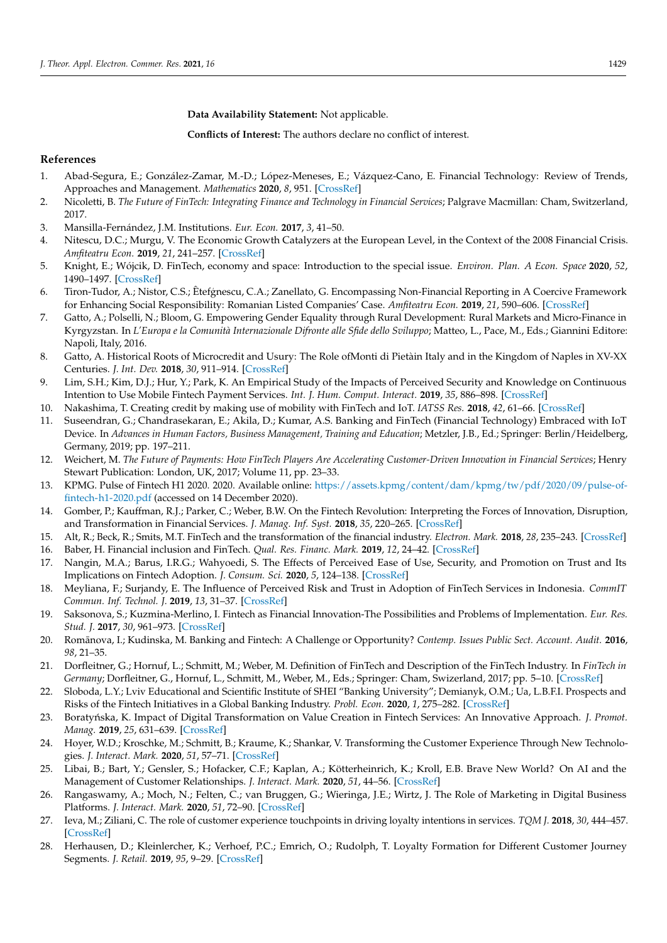**Data Availability Statement:** Not applicable.

**Conflicts of Interest:** The authors declare no conflict of interest.

### **References**

- <span id="page-14-0"></span>1. Abad-Segura, E.; González-Zamar, M.-D.; López-Meneses, E.; Vázquez-Cano, E. Financial Technology: Review of Trends, Approaches and Management. *Mathematics* **2020**, *8*, 951. [\[CrossRef\]](http://doi.org/10.3390/math8060951)
- <span id="page-14-1"></span>2. Nicoletti, B. *The Future of FinTech: Integrating Finance and Technology in Financial Services*; Palgrave Macmillan: Cham, Switzerland, 2017.
- <span id="page-14-2"></span>3. Mansilla-Fernández, J.M. Institutions. *Eur. Econ.* **2017**, *3*, 41–50.
- 4. Nitescu, D.C.; Murgu, V. The Economic Growth Catalyzers at the European Level, in the Context of the 2008 Financial Crisis. *Amfiteatru Econ.* **2019**, *21*, 241–257. [\[CrossRef\]](http://doi.org/10.24818/EA/2019/50/241)
- <span id="page-14-3"></span>5. Knight, E.; Wójcik, D. FinTech, economy and space: Introduction to the special issue. *Environ. Plan. A Econ. Space* **2020**, *52*, 1490–1497. [\[CrossRef\]](http://doi.org/10.1177/0308518X20946334)
- <span id="page-14-4"></span>6. Tiron-Tudor, A.; Nistor, C.S.; Êtefgnescu, C.A.; Zanellato, G. Encompassing Non-Financial Reporting in A Coercive Framework for Enhancing Social Responsibility: Romanian Listed Companies' Case. *Amfiteatru Econ.* **2019**, *21*, 590–606. [\[CrossRef\]](http://doi.org/10.24818/EA/2019/52/590)
- <span id="page-14-5"></span>7. Gatto, A.; Polselli, N.; Bloom, G. Empowering Gender Equality through Rural Development: Rural Markets and Micro-Finance in Kyrgyzstan. In *L'Europa e la Comunità Internazionale Difronte alle Sfide dello Sviluppo*; Matteo, L., Pace, M., Eds.; Giannini Editore: Napoli, Italy, 2016.
- <span id="page-14-6"></span>8. Gatto, A. Historical Roots of Microcredit and Usury: The Role ofMonti di Pietàin Italy and in the Kingdom of Naples in XV-XX Centuries. *J. Int. Dev.* **2018**, *30*, 911–914. [\[CrossRef\]](http://doi.org/10.1002/jid.3386)
- <span id="page-14-7"></span>9. Lim, S.H.; Kim, D.J.; Hur, Y.; Park, K. An Empirical Study of the Impacts of Perceived Security and Knowledge on Continuous Intention to Use Mobile Fintech Payment Services. *Int. J. Hum. Comput. Interact.* **2019**, *35*, 886–898. [\[CrossRef\]](http://doi.org/10.1080/10447318.2018.1507132)
- <span id="page-14-8"></span>10. Nakashima, T. Creating credit by making use of mobility with FinTech and IoT. *IATSS Res.* **2018**, *42*, 61–66. [\[CrossRef\]](http://doi.org/10.1016/j.iatssr.2018.06.001)
- <span id="page-14-9"></span>11. Suseendran, G.; Chandrasekaran, E.; Akila, D.; Kumar, A.S. Banking and FinTech (Financial Technology) Embraced with IoT Device. In *Advances in Human Factors, Business Management, Training and Education*; Metzler, J.B., Ed.; Springer: Berlin/Heidelberg, Germany, 2019; pp. 197–211.
- <span id="page-14-10"></span>12. Weichert, M. *The Future of Payments: How FinTech Players Are Accelerating Customer-Driven Innovation in Financial Services*; Henry Stewart Publication: London, UK, 2017; Volume 11, pp. 23–33.
- <span id="page-14-11"></span>13. KPMG. Pulse of Fintech H1 2020. 2020. Available online: [https://assets.kpmg/content/dam/kpmg/tw/pdf/2020/09/pulse-of](https://assets.kpmg/content/dam/kpmg/tw/pdf/2020/09/pulse-of-fintech-h1-2020.pdf)[fintech-h1-2020.pdf](https://assets.kpmg/content/dam/kpmg/tw/pdf/2020/09/pulse-of-fintech-h1-2020.pdf) (accessed on 14 December 2020).
- <span id="page-14-12"></span>14. Gomber, P.; Kauffman, R.J.; Parker, C.; Weber, B.W. On the Fintech Revolution: Interpreting the Forces of Innovation, Disruption, and Transformation in Financial Services. *J. Manag. Inf. Syst.* **2018**, *35*, 220–265. [\[CrossRef\]](http://doi.org/10.1080/07421222.2018.1440766)
- <span id="page-14-13"></span>15. Alt, R.; Beck, R.; Smits, M.T. FinTech and the transformation of the financial industry. *Electron. Mark.* **2018**, *28*, 235–243. [\[CrossRef\]](http://doi.org/10.1007/s12525-018-0310-9)
- 16. Baber, H. Financial inclusion and FinTech. *Qual. Res. Financ. Mark.* **2019**, *12*, 24–42. [\[CrossRef\]](http://doi.org/10.1108/QRFM-12-2018-0131)
- <span id="page-14-14"></span>17. Nangin, M.A.; Barus, I.R.G.; Wahyoedi, S. The Effects of Perceived Ease of Use, Security, and Promotion on Trust and Its Implications on Fintech Adoption. *J. Consum. Sci.* **2020**, *5*, 124–138. [\[CrossRef\]](http://doi.org/10.29244/jcs.5.2.124-138)
- <span id="page-14-15"></span>18. Meyliana, F.; Surjandy, E. The Influence of Perceived Risk and Trust in Adoption of FinTech Services in Indonesia. *CommIT Commun. Inf. Technol. J.* **2019**, *13*, 31–37. [\[CrossRef\]](http://doi.org/10.21512/commit.v13i1.5708)
- <span id="page-14-16"></span>19. Saksonova, S.; Kuzmina-Merlino, I. Fintech as Financial Innovation-The Possibilities and Problems of Implementation. *Eur. Res. Stud. J.* **2017**, *30*, 961–973. [\[CrossRef\]](http://doi.org/10.35808/ersj/757)
- <span id="page-14-17"></span>20. Romānova, I.; Kudinska, M. Banking and Fintech: A Challenge or Opportunity? Contemp. Issues Public Sect. Account. Audit. 2016, *98*, 21–35.
- <span id="page-14-18"></span>21. Dorfleitner, G.; Hornuf, L.; Schmitt, M.; Weber, M. Definition of FinTech and Description of the FinTech Industry. In *FinTech in Germany*; Dorfleitner, G., Hornuf, L., Schmitt, M., Weber, M., Eds.; Springer: Cham, Swizerland, 2017; pp. 5–10. [\[CrossRef\]](http://doi.org/10.1007/978-3-319-54666-7_2)
- <span id="page-14-19"></span>22. Sloboda, L.Y.; Lviv Educational and Scientific Institute of SHEI "Banking University"; Demianyk, O.M.; Ua, L.B.F.I. Prospects and Risks of the Fintech Initiatives in a Global Banking Industry. *Probl. Econ.* **2020**, *1*, 275–282. [\[CrossRef\]](http://doi.org/10.32983/2222-0712-2020-1-275-282)
- <span id="page-14-20"></span>23. Boratyńska, K. Impact of Digital Transformation on Value Creation in Fintech Services: An Innovative Approach. *J. Promot. Manag.* **2019**, *25*, 631–639. [\[CrossRef\]](http://doi.org/10.1080/10496491.2019.1585543)
- <span id="page-14-21"></span>24. Hoyer, W.D.; Kroschke, M.; Schmitt, B.; Kraume, K.; Shankar, V. Transforming the Customer Experience Through New Technologies. *J. Interact. Mark.* **2020**, *51*, 57–71. [\[CrossRef\]](http://doi.org/10.1016/j.intmar.2020.04.001)
- <span id="page-14-22"></span>25. Libai, B.; Bart, Y.; Gensler, S.; Hofacker, C.F.; Kaplan, A.; Kötterheinrich, K.; Kroll, E.B. Brave New World? On AI and the Management of Customer Relationships. *J. Interact. Mark.* **2020**, *51*, 44–56. [\[CrossRef\]](http://doi.org/10.1016/j.intmar.2020.04.002)
- <span id="page-14-23"></span>26. Rangaswamy, A.; Moch, N.; Felten, C.; van Bruggen, G.; Wieringa, J.E.; Wirtz, J. The Role of Marketing in Digital Business Platforms. *J. Interact. Mark.* **2020**, *51*, 72–90. [\[CrossRef\]](http://doi.org/10.1016/j.intmar.2020.04.006)
- <span id="page-14-24"></span>27. Ieva, M.; Ziliani, C. The role of customer experience touchpoints in driving loyalty intentions in services. *TQM J.* **2018**, *30*, 444–457. [\[CrossRef\]](http://doi.org/10.1108/TQM-11-2017-0141)
- 28. Herhausen, D.; Kleinlercher, K.; Verhoef, P.C.; Emrich, O.; Rudolph, T. Loyalty Formation for Different Customer Journey Segments. *J. Retail.* **2019**, *95*, 9–29. [\[CrossRef\]](http://doi.org/10.1016/j.jretai.2019.05.001)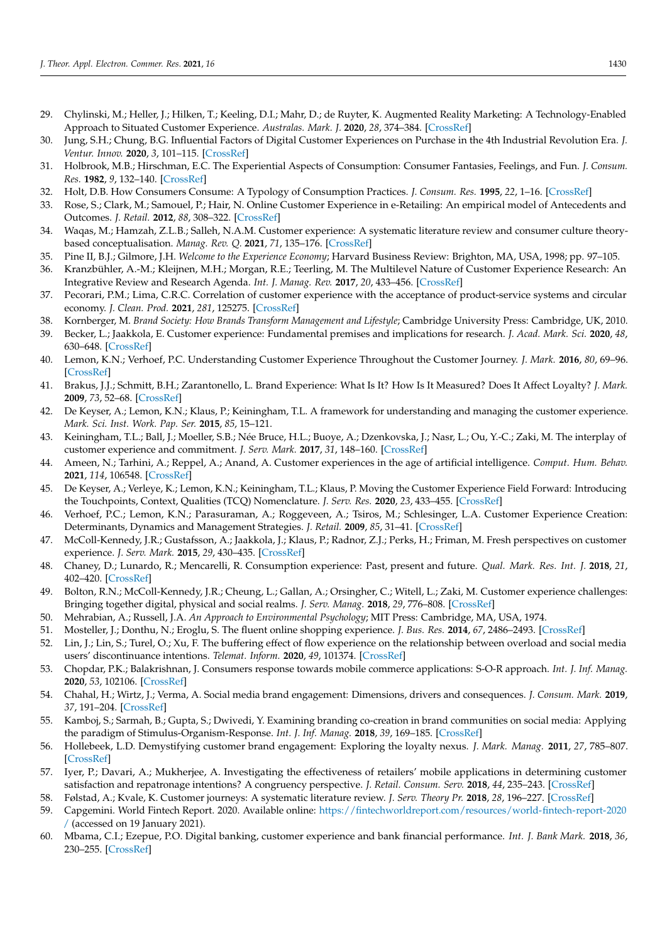- 29. Chylinski, M.; Heller, J.; Hilken, T.; Keeling, D.I.; Mahr, D.; de Ruyter, K. Augmented Reality Marketing: A Technology-Enabled Approach to Situated Customer Experience. *Australas. Mark. J.* **2020**, *28*, 374–384. [\[CrossRef\]](http://doi.org/10.1016/j.ausmj.2020.04.004)
- <span id="page-15-0"></span>30. Jung, S.H.; Chung, B.G. Influential Factors of Digital Customer Experiences on Purchase in the 4th Industrial Revolution Era. *J. Ventur. Innov.* **2020**, *3*, 101–115. [\[CrossRef\]](http://doi.org/10.22788/3.1.101)
- <span id="page-15-1"></span>31. Holbrook, M.B.; Hirschman, E.C. The Experiential Aspects of Consumption: Consumer Fantasies, Feelings, and Fun. *J. Consum. Res.* **1982**, *9*, 132–140. [\[CrossRef\]](http://doi.org/10.1086/208906)
- <span id="page-15-2"></span>32. Holt, D.B. How Consumers Consume: A Typology of Consumption Practices. *J. Consum. Res.* **1995**, *22*, 1–16. [\[CrossRef\]](http://doi.org/10.1086/209431)
- <span id="page-15-3"></span>33. Rose, S.; Clark, M.; Samouel, P.; Hair, N. Online Customer Experience in e-Retailing: An empirical model of Antecedents and Outcomes. *J. Retail.* **2012**, *88*, 308–322. [\[CrossRef\]](http://doi.org/10.1016/j.jretai.2012.03.001)
- <span id="page-15-4"></span>34. Waqas, M.; Hamzah, Z.L.B.; Salleh, N.A.M. Customer experience: A systematic literature review and consumer culture theorybased conceptualisation. *Manag. Rev. Q.* **2021**, *71*, 135–176. [\[CrossRef\]](http://doi.org/10.1007/s11301-020-00182-w)
- <span id="page-15-5"></span>35. Pine II, B.J.; Gilmore, J.H. *Welcome to the Experience Economy*; Harvard Business Review: Brighton, MA, USA, 1998; pp. 97–105.
- <span id="page-15-6"></span>36. Kranzbühler, A.-M.; Kleijnen, M.H.; Morgan, R.E.; Teerling, M. The Multilevel Nature of Customer Experience Research: An Integrative Review and Research Agenda. *Int. J. Manag. Rev.* **2017**, *20*, 433–456. [\[CrossRef\]](http://doi.org/10.1111/ijmr.12140)
- <span id="page-15-7"></span>37. Pecorari, P.M.; Lima, C.R.C. Correlation of customer experience with the acceptance of product-service systems and circular economy. *J. Clean. Prod.* **2021**, *281*, 125275. [\[CrossRef\]](http://doi.org/10.1016/j.jclepro.2020.125275)
- <span id="page-15-8"></span>38. Kornberger, M. *Brand Society: How Brands Transform Management and Lifestyle*; Cambridge University Press: Cambridge, UK, 2010.
- <span id="page-15-9"></span>39. Becker, L.; Jaakkola, E. Customer experience: Fundamental premises and implications for research. *J. Acad. Mark. Sci.* **2020**, *48*, 630–648. [\[CrossRef\]](http://doi.org/10.1007/s11747-019-00718-x)
- <span id="page-15-10"></span>40. Lemon, K.N.; Verhoef, P.C. Understanding Customer Experience Throughout the Customer Journey. *J. Mark.* **2016**, *80*, 69–96. [\[CrossRef\]](http://doi.org/10.1509/jm.15.0420)
- 41. Brakus, J.J.; Schmitt, B.H.; Zarantonello, L. Brand Experience: What Is It? How Is It Measured? Does It Affect Loyalty? *J. Mark.* **2009**, *73*, 52–68. [\[CrossRef\]](http://doi.org/10.1509/jmkg.73.3.052)
- <span id="page-15-14"></span>42. De Keyser, A.; Lemon, K.N.; Klaus, P.; Keiningham, T.L. A framework for understanding and managing the customer experience. *Mark. Sci. Inst. Work. Pap. Ser.* **2015**, *85*, 15–121.
- <span id="page-15-11"></span>43. Keiningham, T.L.; Ball, J.; Moeller, S.B.; Née Bruce, H.L.; Buoye, A.; Dzenkovska, J.; Nasr, L.; Ou, Y.-C.; Zaki, M. The interplay of customer experience and commitment. *J. Serv. Mark.* **2017**, *31*, 148–160. [\[CrossRef\]](http://doi.org/10.1108/JSM-09-2016-0337)
- <span id="page-15-12"></span>44. Ameen, N.; Tarhini, A.; Reppel, A.; Anand, A. Customer experiences in the age of artificial intelligence. *Comput. Hum. Behav.* **2021**, *114*, 106548. [\[CrossRef\]](http://doi.org/10.1016/j.chb.2020.106548)
- <span id="page-15-13"></span>45. De Keyser, A.; Verleye, K.; Lemon, K.N.; Keiningham, T.L.; Klaus, P. Moving the Customer Experience Field Forward: Introducing the Touchpoints, Context, Qualities (TCQ) Nomenclature. *J. Serv. Res.* **2020**, *23*, 433–455. [\[CrossRef\]](http://doi.org/10.1177/1094670520928390)
- <span id="page-15-15"></span>46. Verhoef, P.C.; Lemon, K.N.; Parasuraman, A.; Roggeveen, A.; Tsiros, M.; Schlesinger, L.A. Customer Experience Creation: Determinants, Dynamics and Management Strategies. *J. Retail.* **2009**, *85*, 31–41. [\[CrossRef\]](http://doi.org/10.1016/j.jretai.2008.11.001)
- <span id="page-15-16"></span>47. McColl-Kennedy, J.R.; Gustafsson, A.; Jaakkola, J.; Klaus, P.; Radnor, Z.J.; Perks, H.; Friman, M. Fresh perspectives on customer experience. *J. Serv. Mark.* **2015**, *29*, 430–435. [\[CrossRef\]](http://doi.org/10.1108/JSM-01-2015-0054)
- <span id="page-15-17"></span>48. Chaney, D.; Lunardo, R.; Mencarelli, R. Consumption experience: Past, present and future. *Qual. Mark. Res. Int. J.* **2018**, *21*, 402–420. [\[CrossRef\]](http://doi.org/10.1108/QMR-04-2018-0042)
- <span id="page-15-18"></span>49. Bolton, R.N.; McColl-Kennedy, J.R.; Cheung, L.; Gallan, A.; Orsingher, C.; Witell, L.; Zaki, M. Customer experience challenges: Bringing together digital, physical and social realms. *J. Serv. Manag.* **2018**, *29*, 776–808. [\[CrossRef\]](http://doi.org/10.1108/JOSM-04-2018-0113)
- <span id="page-15-19"></span>50. Mehrabian, A.; Russell, J.A. *An Approach to Environmental Psychology*; MIT Press: Cambridge, MA, USA, 1974.
- <span id="page-15-20"></span>51. Mosteller, J.; Donthu, N.; Eroglu, S. The fluent online shopping experience. *J. Bus. Res.* **2014**, *67*, 2486–2493. [\[CrossRef\]](http://doi.org/10.1016/j.jbusres.2014.03.009)
- <span id="page-15-21"></span>52. Lin, J.; Lin, S.; Turel, O.; Xu, F. The buffering effect of flow experience on the relationship between overload and social media users' discontinuance intentions. *Telemat. Inform.* **2020**, *49*, 101374. [\[CrossRef\]](http://doi.org/10.1016/j.tele.2020.101374)
- <span id="page-15-22"></span>53. Chopdar, P.K.; Balakrishnan, J. Consumers response towards mobile commerce applications: S-O-R approach. *Int. J. Inf. Manag.* **2020**, *53*, 102106. [\[CrossRef\]](http://doi.org/10.1016/j.ijinfomgt.2020.102106)
- <span id="page-15-23"></span>54. Chahal, H.; Wirtz, J.; Verma, A. Social media brand engagement: Dimensions, drivers and consequences. *J. Consum. Mark.* **2019**, *37*, 191–204. [\[CrossRef\]](http://doi.org/10.1108/JCM-11-2018-2937)
- <span id="page-15-24"></span>55. Kamboj, S.; Sarmah, B.; Gupta, S.; Dwivedi, Y. Examining branding co-creation in brand communities on social media: Applying the paradigm of Stimulus-Organism-Response. *Int. J. Inf. Manag.* **2018**, *39*, 169–185. [\[CrossRef\]](http://doi.org/10.1016/j.ijinfomgt.2017.12.001)
- <span id="page-15-25"></span>56. Hollebeek, L.D. Demystifying customer brand engagement: Exploring the loyalty nexus. *J. Mark. Manag.* **2011**, *27*, 785–807. [\[CrossRef\]](http://doi.org/10.1080/0267257X.2010.500132)
- <span id="page-15-26"></span>57. Iyer, P.; Davari, A.; Mukherjee, A. Investigating the effectiveness of retailers' mobile applications in determining customer satisfaction and repatronage intentions? A congruency perspective. *J. Retail. Consum. Serv.* **2018**, *44*, 235–243. [\[CrossRef\]](http://doi.org/10.1016/j.jretconser.2018.07.017)
- <span id="page-15-27"></span>58. Følstad, A.; Kvale, K. Customer journeys: A systematic literature review. *J. Serv. Theory Pr.* **2018**, *28*, 196–227. [\[CrossRef\]](http://doi.org/10.1108/JSTP-11-2014-0261)
- <span id="page-15-28"></span>59. Capgemini. World Fintech Report. 2020. Available online: [https://fintechworldreport.com/resources/world-fintech-report-2020](https://fintechworldreport.com/resources/world-fintech-report-2020/) [/](https://fintechworldreport.com/resources/world-fintech-report-2020/) (accessed on 19 January 2021).
- <span id="page-15-29"></span>60. Mbama, C.I.; Ezepue, P.O. Digital banking, customer experience and bank financial performance. *Int. J. Bank Mark.* **2018**, *36*, 230–255. [\[CrossRef\]](http://doi.org/10.1108/IJBM-11-2016-0181)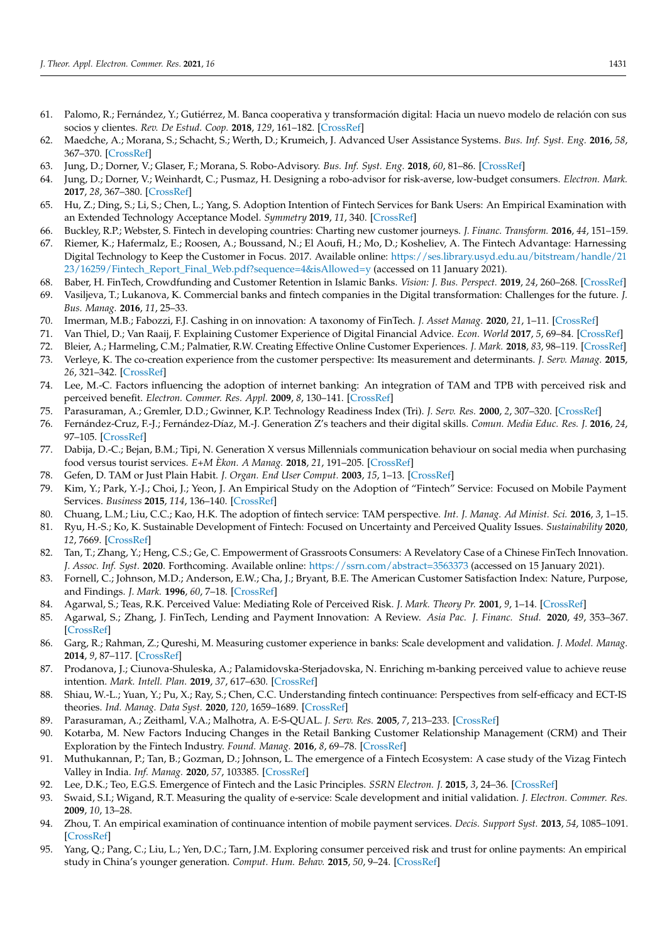- <span id="page-16-0"></span>61. Palomo, R.; Fernández, Y.; Gutiérrez, M. Banca cooperativa y transformación digital: Hacia un nuevo modelo de relación con sus socios y clientes. *Rev. De Estud. Coop.* **2018**, *129*, 161–182. [\[CrossRef\]](http://doi.org/10.5209/REVE.62490)
- <span id="page-16-1"></span>62. Maedche, A.; Morana, S.; Schacht, S.; Werth, D.; Krumeich, J. Advanced User Assistance Systems. *Bus. Inf. Syst. Eng.* **2016**, *58*, 367–370. [\[CrossRef\]](http://doi.org/10.1007/s12599-016-0444-2)
- <span id="page-16-2"></span>63. Jung, D.; Dorner, V.; Glaser, F.; Morana, S. Robo-Advisory. *Bus. Inf. Syst. Eng.* **2018**, *60*, 81–86. [\[CrossRef\]](http://doi.org/10.1007/s12599-018-0521-9)
- <span id="page-16-3"></span>64. Jung, D.; Dorner, V.; Weinhardt, C.; Pusmaz, H. Designing a robo-advisor for risk-averse, low-budget consumers. *Electron. Mark.* **2017**, *28*, 367–380. [\[CrossRef\]](http://doi.org/10.1007/s12525-017-0279-9)
- <span id="page-16-4"></span>65. Hu, Z.; Ding, S.; Li, S.; Chen, L.; Yang, S. Adoption Intention of Fintech Services for Bank Users: An Empirical Examination with an Extended Technology Acceptance Model. *Symmetry* **2019**, *11*, 340. [\[CrossRef\]](http://doi.org/10.3390/sym11030340)
- <span id="page-16-6"></span><span id="page-16-5"></span>66. Buckley, R.P.; Webster, S. Fintech in developing countries: Charting new customer journeys. *J. Financ. Transform.* **2016**, *44*, 151–159. 67. Riemer, K.; Hafermalz, E.; Roosen, A.; Boussand, N.; El Aoufi, H.; Mo, D.; Kosheliev, A. The Fintech Advantage: Harnessing Digital Technology to Keep the Customer in Focus. 2017. Available online: [https://ses.library.usyd.edu.au/bitstream/handle/21](https://ses.library.usyd.edu.au/bitstream/handle/2123/16259/Fintech_Report_Final_Web.pdf?sequence=4&isAllowed=y)
- [23/16259/Fintech\\_Report\\_Final\\_Web.pdf?sequence=4&isAllowed=y](https://ses.library.usyd.edu.au/bitstream/handle/2123/16259/Fintech_Report_Final_Web.pdf?sequence=4&isAllowed=y) (accessed on 11 January 2021).
- <span id="page-16-7"></span>68. Baber, H. FinTech, Crowdfunding and Customer Retention in Islamic Banks. *Vision: J. Bus. Perspect.* **2019**, *24*, 260–268. [\[CrossRef\]](http://doi.org/10.1177/0972262919869765)
- <span id="page-16-8"></span>69. Vasiljeva, T.; Lukanova, K. Commercial banks and fintech companies in the Digital transformation: Challenges for the future. *J. Bus. Manag.* **2016**, *11*, 25–33.
- <span id="page-16-9"></span>70. Imerman, M.B.; Fabozzi, F.J. Cashing in on innovation: A taxonomy of FinTech. *J. Asset Manag.* **2020**, *21*, 1–11. [\[CrossRef\]](http://doi.org/10.1057/s41260-020-00163-4)
- <span id="page-16-10"></span>71. Van Thiel, D.; Van Raaij, F. Explaining Customer Experience of Digital Financial Advice. *Econ. World* **2017**, *5*, 69–84. [\[CrossRef\]](http://doi.org/10.17265/2328-7144/2017.01.007)
- <span id="page-16-11"></span>72. Bleier, A.; Harmeling, C.M.; Palmatier, R.W. Creating Effective Online Customer Experiences. *J. Mark.* **2018**, *83*, 98–119. [\[CrossRef\]](http://doi.org/10.1177/0022242918809930)
- <span id="page-16-12"></span>73. Verleye, K. The co-creation experience from the customer perspective: Its measurement and determinants. *J. Serv. Manag.* **2015**, *26*, 321–342. [\[CrossRef\]](http://doi.org/10.1108/JOSM-09-2014-0254)
- <span id="page-16-13"></span>74. Lee, M.-C. Factors influencing the adoption of internet banking: An integration of TAM and TPB with perceived risk and perceived benefit. *Electron. Commer. Res. Appl.* **2009**, *8*, 130–141. [\[CrossRef\]](http://doi.org/10.1016/j.elerap.2008.11.006)
- <span id="page-16-14"></span>75. Parasuraman, A.; Gremler, D.D.; Gwinner, K.P. Technology Readiness Index (Tri). *J. Serv. Res.* **2000**, *2*, 307–320. [\[CrossRef\]](http://doi.org/10.1177/109467050024001)
- <span id="page-16-15"></span>76. Fernández-Cruz, F.-J.; Fernández-Díaz, M.-J. Generation Z's teachers and their digital skills. *Comun. Media Educ. Res. J.* **2016**, *24*, 97–105. [\[CrossRef\]](http://doi.org/10.3916/C46-2016-10)
- <span id="page-16-16"></span>77. Dabija, D.-C.; Bejan, B.M.; Tipi, N. Generation X versus Millennials communication behaviour on social media when purchasing food versus tourist services. *E+M Èkon. A Manag.* **2018**, *21*, 191–205. [\[CrossRef\]](http://doi.org/10.15240/tul/001/2018-1-013)
- <span id="page-16-17"></span>78. Gefen, D. TAM or Just Plain Habit. *J. Organ. End User Comput.* **2003**, *15*, 1–13. [\[CrossRef\]](http://doi.org/10.4018/joeuc.2003070101)
- <span id="page-16-18"></span>79. Kim, Y.; Park, Y.-J.; Choi, J.; Yeon, J. An Empirical Study on the Adoption of "Fintech" Service: Focused on Mobile Payment Services. *Business* **2015**, *114*, 136–140. [\[CrossRef\]](http://doi.org/10.14257/astl.2015.114.26)
- <span id="page-16-19"></span>80. Chuang, L.M.; Liu, C.C.; Kao, H.K. The adoption of fintech service: TAM perspective. *Int. J. Manag. Ad Minist. Sci.* **2016**, *3*, 1–15.
- <span id="page-16-20"></span>81. Ryu, H.-S.; Ko, K. Sustainable Development of Fintech: Focused on Uncertainty and Perceived Quality Issues. *Sustainability* **2020**, *12*, 7669. [\[CrossRef\]](http://doi.org/10.3390/su12187669)
- <span id="page-16-21"></span>82. Tan, T.; Zhang, Y.; Heng, C.S.; Ge, C. Empowerment of Grassroots Consumers: A Revelatory Case of a Chinese FinTech Innovation. *J. Assoc. Inf. Syst.* **2020**. Forthcoming. Available online: <https://ssrn.com/abstract=3563373> (accessed on 15 January 2021).
- <span id="page-16-22"></span>83. Fornell, C.; Johnson, M.D.; Anderson, E.W.; Cha, J.; Bryant, B.E. The American Customer Satisfaction Index: Nature, Purpose, and Findings. *J. Mark.* **1996**, *60*, 7–18. [\[CrossRef\]](http://doi.org/10.1177/002224299606000403)
- <span id="page-16-23"></span>84. Agarwal, S.; Teas, R.K. Perceived Value: Mediating Role of Perceived Risk. *J. Mark. Theory Pr.* **2001**, *9*, 1–14. [\[CrossRef\]](http://doi.org/10.1080/10696679.2001.11501899)
- <span id="page-16-24"></span>85. Agarwal, S.; Zhang, J. FinTech, Lending and Payment Innovation: A Review. *Asia Pac. J. Financ. Stud.* **2020**, *49*, 353–367. [\[CrossRef\]](http://doi.org/10.1111/ajfs.12294)
- <span id="page-16-25"></span>86. Garg, R.; Rahman, Z.; Qureshi, M. Measuring customer experience in banks: Scale development and validation. *J. Model. Manag.* **2014**, *9*, 87–117. [\[CrossRef\]](http://doi.org/10.1108/JM2-07-2012-0023)
- <span id="page-16-26"></span>87. Prodanova, J.; Ciunova-Shuleska, A.; Palamidovska-Sterjadovska, N. Enriching m-banking perceived value to achieve reuse intention. *Mark. Intell. Plan.* **2019**, *37*, 617–630. [\[CrossRef\]](http://doi.org/10.1108/MIP-11-2018-0508)
- <span id="page-16-27"></span>88. Shiau, W.-L.; Yuan, Y.; Pu, X.; Ray, S.; Chen, C.C. Understanding fintech continuance: Perspectives from self-efficacy and ECT-IS theories. *Ind. Manag. Data Syst.* **2020**, *120*, 1659–1689. [\[CrossRef\]](http://doi.org/10.1108/IMDS-02-2020-0069)
- <span id="page-16-28"></span>89. Parasuraman, A.; Zeithaml, V.A.; Malhotra, A. E-S-QUAL. *J. Serv. Res.* **2005**, *7*, 213–233. [\[CrossRef\]](http://doi.org/10.1177/1094670504271156)
- <span id="page-16-29"></span>90. Kotarba, M. New Factors Inducing Changes in the Retail Banking Customer Relationship Management (CRM) and Their Exploration by the Fintech Industry. *Found. Manag.* **2016**, *8*, 69–78. [\[CrossRef\]](http://doi.org/10.1515/fman-2016-0006)
- <span id="page-16-30"></span>91. Muthukannan, P.; Tan, B.; Gozman, D.; Johnson, L. The emergence of a Fintech Ecosystem: A case study of the Vizag Fintech Valley in India. *Inf. Manag.* **2020**, *57*, 103385. [\[CrossRef\]](http://doi.org/10.1016/j.im.2020.103385)
- <span id="page-16-31"></span>92. Lee, D.K.; Teo, E.G.S. Emergence of Fintech and the Lasic Principles. *SSRN Electron. J.* **2015**, *3*, 24–36. [\[CrossRef\]](http://doi.org/10.2139/ssrn.2668049)
- <span id="page-16-32"></span>93. Swaid, S.I.; Wigand, R.T. Measuring the quality of e-service: Scale development and initial validation. *J. Electron. Commer. Res.* **2009**, *10*, 13–28.
- <span id="page-16-33"></span>94. Zhou, T. An empirical examination of continuance intention of mobile payment services. *Decis. Support Syst.* **2013**, *54*, 1085–1091. [\[CrossRef\]](http://doi.org/10.1016/j.dss.2012.10.034)
- <span id="page-16-34"></span>95. Yang, Q.; Pang, C.; Liu, L.; Yen, D.C.; Tarn, J.M. Exploring consumer perceived risk and trust for online payments: An empirical study in China's younger generation. *Comput. Hum. Behav.* **2015**, *50*, 9–24. [\[CrossRef\]](http://doi.org/10.1016/j.chb.2015.03.058)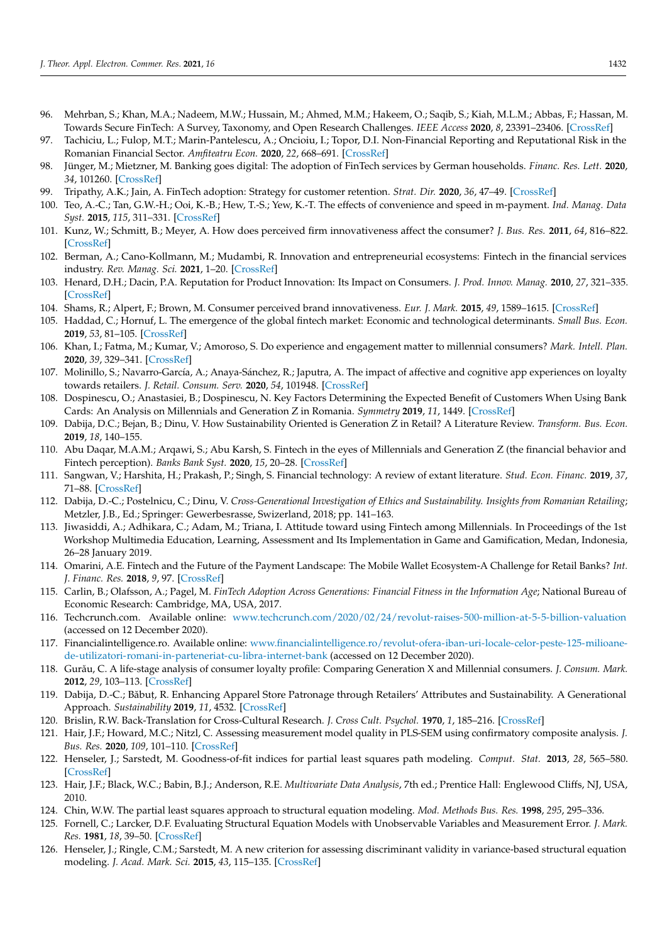- <span id="page-17-0"></span>96. Mehrban, S.; Khan, M.A.; Nadeem, M.W.; Hussain, M.; Ahmed, M.M.; Hakeem, O.; Saqib, S.; Kiah, M.L.M.; Abbas, F.; Hassan, M. Towards Secure FinTech: A Survey, Taxonomy, and Open Research Challenges. *IEEE Access* **2020**, *8*, 23391–23406. [\[CrossRef\]](http://doi.org/10.1109/ACCESS.2020.2970430)
- <span id="page-17-1"></span>97. Tachiciu, L.; Fulop, M.T.; Marin-Pantelescu, A.; Oncioiu, I.; Topor, D.I. Non-Financial Reporting and Reputational Risk in the Romanian Financial Sector. *Amfiteatru Econ.* **2020**, *22*, 668–691. [\[CrossRef\]](http://doi.org/10.24818/EA/2020/55/668)
- <span id="page-17-2"></span>98. Jünger, M.; Mietzner, M. Banking goes digital: The adoption of FinTech services by German households. *Financ. Res. Lett.* **2020**, *34*, 101260. [\[CrossRef\]](http://doi.org/10.1016/j.frl.2019.08.008)
- <span id="page-17-3"></span>99. Tripathy, A.K.; Jain, A. FinTech adoption: Strategy for customer retention. *Strat. Dir.* **2020**, *36*, 47–49. [\[CrossRef\]](http://doi.org/10.1108/SD-10-2019-0188)
- <span id="page-17-4"></span>100. Teo, A.-C.; Tan, G.W.-H.; Ooi, K.-B.; Hew, T.-S.; Yew, K.-T. The effects of convenience and speed in m-payment. *Ind. Manag. Data Syst.* **2015**, *115*, 311–331. [\[CrossRef\]](http://doi.org/10.1108/IMDS-08-2014-0231)
- <span id="page-17-5"></span>101. Kunz, W.; Schmitt, B.; Meyer, A. How does perceived firm innovativeness affect the consumer? *J. Bus. Res.* **2011**, *64*, 816–822. [\[CrossRef\]](http://doi.org/10.1016/j.jbusres.2010.10.005)
- <span id="page-17-6"></span>102. Berman, A.; Cano-Kollmann, M.; Mudambi, R. Innovation and entrepreneurial ecosystems: Fintech in the financial services industry. *Rev. Manag. Sci.* **2021**, 1–20. [\[CrossRef\]](http://doi.org/10.1007/s11846-020-00435-8)
- <span id="page-17-7"></span>103. Henard, D.H.; Dacin, P.A. Reputation for Product Innovation: Its Impact on Consumers. *J. Prod. Innov. Manag.* **2010**, *27*, 321–335. [\[CrossRef\]](http://doi.org/10.1111/j.1540-5885.2010.00719.x)
- <span id="page-17-8"></span>104. Shams, R.; Alpert, F.; Brown, M. Consumer perceived brand innovativeness. *Eur. J. Mark.* **2015**, *49*, 1589–1615. [\[CrossRef\]](http://doi.org/10.1108/EJM-05-2013-0240)
- <span id="page-17-9"></span>105. Haddad, C.; Hornuf, L. The emergence of the global fintech market: Economic and technological determinants. *Small Bus. Econ.* **2019**, *53*, 81–105. [\[CrossRef\]](http://doi.org/10.1007/s11187-018-9991-x)
- <span id="page-17-10"></span>106. Khan, I.; Fatma, M.; Kumar, V.; Amoroso, S. Do experience and engagement matter to millennial consumers? *Mark. Intell. Plan.* **2020**, *39*, 329–341. [\[CrossRef\]](http://doi.org/10.1108/MIP-01-2020-0033)
- <span id="page-17-11"></span>107. Molinillo, S.; Navarro-García, A.; Anaya-Sánchez, R.; Japutra, A. The impact of affective and cognitive app experiences on loyalty towards retailers. *J. Retail. Consum. Serv.* **2020**, *54*, 101948. [\[CrossRef\]](http://doi.org/10.1016/j.jretconser.2019.101948)
- <span id="page-17-12"></span>108. Dospinescu, O.; Anastasiei, B.; Dospinescu, N. Key Factors Determining the Expected Benefit of Customers When Using Bank Cards: An Analysis on Millennials and Generation Z in Romania. *Symmetry* **2019**, *11*, 1449. [\[CrossRef\]](http://doi.org/10.3390/sym11121449)
- <span id="page-17-13"></span>109. Dabija, D.C.; Bejan, B.; Dinu, V. How Sustainability Oriented is Generation Z in Retail? A Literature Review. *Transform. Bus. Econ.* **2019**, *18*, 140–155.
- <span id="page-17-14"></span>110. Abu Daqar, M.A.M.; Arqawi, S.; Abu Karsh, S. Fintech in the eyes of Millennials and Generation Z (the financial behavior and Fintech perception). *Banks Bank Syst.* **2020**, *15*, 20–28. [\[CrossRef\]](http://doi.org/10.21511/bbs.15(3).2020.03)
- <span id="page-17-15"></span>111. Sangwan, V.; Harshita, H.; Prakash, P.; Singh, S. Financial technology: A review of extant literature. *Stud. Econ. Financ.* **2019**, *37*, 71–88. [\[CrossRef\]](http://doi.org/10.1108/SEF-07-2019-0270)
- <span id="page-17-16"></span>112. Dabija, D.-C.; Postelnicu, C.; Dinu, V. *Cross-Generational Investigation of Ethics and Sustainability. Insights from Romanian Retailing*; Metzler, J.B., Ed.; Springer: Gewerbesrasse, Swizerland, 2018; pp. 141–163.
- <span id="page-17-17"></span>113. Jiwasiddi, A.; Adhikara, C.; Adam, M.; Triana, I. Attitude toward using Fintech among Millennials. In Proceedings of the 1st Workshop Multimedia Education, Learning, Assessment and Its Implementation in Game and Gamification, Medan, Indonesia, 26–28 January 2019.
- <span id="page-17-18"></span>114. Omarini, A.E. Fintech and the Future of the Payment Landscape: The Mobile Wallet Ecosystem-A Challenge for Retail Banks? *Int. J. Financ. Res.* **2018**, *9*, 97. [\[CrossRef\]](http://doi.org/10.5430/ijfr.v9n4p97)
- <span id="page-17-19"></span>115. Carlin, B.; Olafsson, A.; Pagel, M. *FinTech Adoption Across Generations: Financial Fitness in the Information Age*; National Bureau of Economic Research: Cambridge, MA, USA, 2017.
- <span id="page-17-20"></span>116. Techcrunch.com. Available online: <www.techcrunch.com/2020/02/24/revolut-raises-500-million-at-5-5-billion-valuation> (accessed on 12 December 2020).
- <span id="page-17-21"></span>117. Financialintelligence.ro. Available online: [www.financialintelligence.ro/revolut-ofera-iban-uri-locale-celor-peste-125-milioane](www.financialintelligence.ro/revolut-ofera-iban-uri-locale-celor-peste-125-milioane-de-utilizatori-romani-in-parteneriat-cu-libra-internet-bank)[de-utilizatori-romani-in-parteneriat-cu-libra-internet-bank](www.financialintelligence.ro/revolut-ofera-iban-uri-locale-celor-peste-125-milioane-de-utilizatori-romani-in-parteneriat-cu-libra-internet-bank) (accessed on 12 December 2020).
- <span id="page-17-22"></span>118. Gurău, C. A life-stage analysis of consumer loyalty profile: Comparing Generation X and Millennial consumers. *J. Consum. Mark.* **2012**, *29*, 103–113. [\[CrossRef\]](http://doi.org/10.1108/07363761211206357)
- <span id="page-17-23"></span>119. Dabija, D.-C.; Băbut, , R. Enhancing Apparel Store Patronage through Retailers' Attributes and Sustainability. A Generational Approach. *Sustainability* **2019**, *11*, 4532. [\[CrossRef\]](http://doi.org/10.3390/su11174532)
- <span id="page-17-24"></span>120. Brislin, R.W. Back-Translation for Cross-Cultural Research. *J. Cross Cult. Psychol.* **1970**, *1*, 185–216. [\[CrossRef\]](http://doi.org/10.1177/135910457000100301)
- <span id="page-17-25"></span>121. Hair, J.F.; Howard, M.C.; Nitzl, C. Assessing measurement model quality in PLS-SEM using confirmatory composite analysis. *J. Bus. Res.* **2020**, *109*, 101–110. [\[CrossRef\]](http://doi.org/10.1016/j.jbusres.2019.11.069)
- <span id="page-17-26"></span>122. Henseler, J.; Sarstedt, M. Goodness-of-fit indices for partial least squares path modeling. *Comput. Stat.* **2013**, *28*, 565–580. [\[CrossRef\]](http://doi.org/10.1007/s00180-012-0317-1)
- <span id="page-17-27"></span>123. Hair, J.F.; Black, W.C.; Babin, B.J.; Anderson, R.E. *Multivariate Data Analysis*, 7th ed.; Prentice Hall: Englewood Cliffs, NJ, USA, 2010.
- <span id="page-17-28"></span>124. Chin, W.W. The partial least squares approach to structural equation modeling. *Mod. Methods Bus. Res.* **1998**, *295*, 295–336.
- <span id="page-17-29"></span>125. Fornell, C.; Larcker, D.F. Evaluating Structural Equation Models with Unobservable Variables and Measurement Error. *J. Mark. Res.* **1981**, *18*, 39–50. [\[CrossRef\]](http://doi.org/10.1177/002224378101800104)
- <span id="page-17-30"></span>126. Henseler, J.; Ringle, C.M.; Sarstedt, M. A new criterion for assessing discriminant validity in variance-based structural equation modeling. *J. Acad. Mark. Sci.* **2015**, *43*, 115–135. [\[CrossRef\]](http://doi.org/10.1007/s11747-014-0403-8)